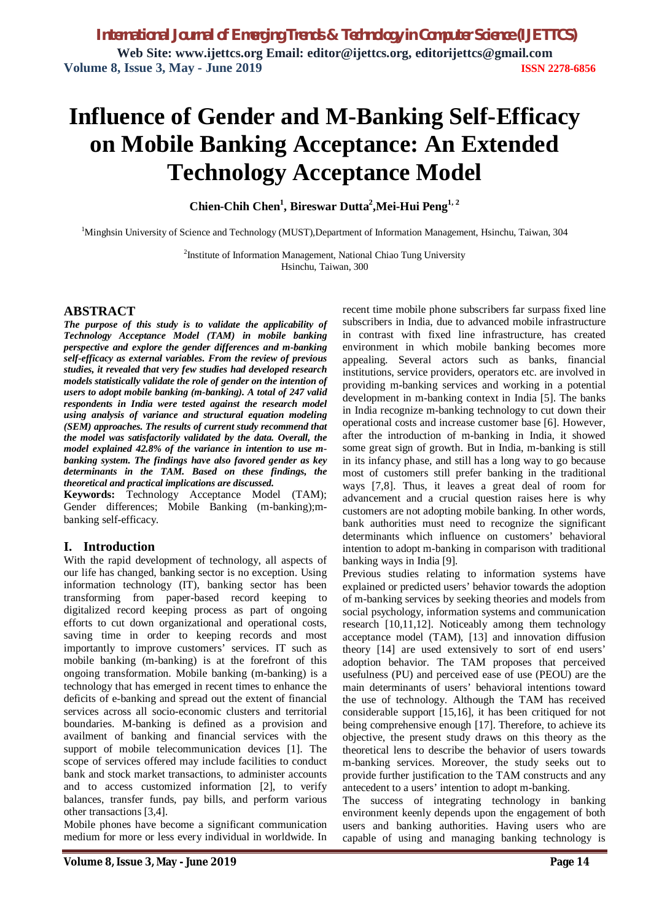# **Influence of Gender and M-Banking Self-Efficacy on Mobile Banking Acceptance: An Extended Technology Acceptance Model**

**Chien-Chih Chen<sup>1</sup> , Bireswar Dutta<sup>2</sup> ,Mei-Hui Peng1, 2**

<sup>1</sup>Minghsin University of Science and Technology (MUST),Department of Information Management, Hsinchu, Taiwan, 304

<sup>2</sup>Institute of Information Management, National Chiao Tung University Hsinchu, Taiwan, 300

#### **ABSTRACT**

*The purpose of this study is to validate the applicability of Technology Acceptance Model (TAM) in mobile banking perspective and explore the gender differences and m-banking self-efficacy as external variables. From the review of previous studies, it revealed that very few studies had developed research models statistically validate the role of gender on the intention of users to adopt mobile banking (m-banking). A total of 247 valid respondents in India were tested against the research model using analysis of variance and structural equation modeling (SEM) approaches. The results of current study recommend that the model was satisfactorily validated by the data. Overall, the model explained 42.8% of the variance in intention to use mbanking system. The findings have also favored gender as key determinants in the TAM. Based on these findings, the theoretical and practical implications are discussed.*

**Keywords:** Technology Acceptance Model (TAM); Gender differences; Mobile Banking (m-banking);mbanking self-efficacy.

### **I. Introduction**

With the rapid development of technology, all aspects of our life has changed, banking sector is no exception. Using information technology (IT), banking sector has been transforming from paper-based record keeping to digitalized record keeping process as part of ongoing efforts to cut down organizational and operational costs, saving time in order to keeping records and most importantly to improve customers' services. IT such as mobile banking (m-banking) is at the forefront of this ongoing transformation. Mobile banking (m-banking) is a technology that has emerged in recent times to enhance the deficits of e-banking and spread out the extent of financial services across all socio-economic clusters and territorial boundaries. M-banking is defined as a provision and availment of banking and financial services with the support of mobile telecommunication devices [1]. The scope of services offered may include facilities to conduct bank and stock market transactions, to administer accounts and to access customized information [2], to verify balances, transfer funds, pay bills, and perform various other transactions [3,4].

Mobile phones have become a significant communication medium for more or less every individual in worldwide. In recent time mobile phone subscribers far surpass fixed line subscribers in India, due to advanced mobile infrastructure in contrast with fixed line infrastructure, has created environment in which mobile banking becomes more appealing. Several actors such as banks, financial institutions, service providers, operators etc. are involved in providing m-banking services and working in a potential development in m-banking context in India [5]. The banks in India recognize m-banking technology to cut down their operational costs and increase customer base [6]. However, after the introduction of m-banking in India, it showed some great sign of growth. But in India, m-banking is still in its infancy phase, and still has a long way to go because most of customers still prefer banking in the traditional ways [7,8]. Thus, it leaves a great deal of room for advancement and a crucial question raises here is why customers are not adopting mobile banking. In other words, bank authorities must need to recognize the significant determinants which influence on customers' behavioral intention to adopt m-banking in comparison with traditional banking ways in India [9].

Previous studies relating to information systems have explained or predicted users' behavior towards the adoption of m-banking services by seeking theories and models from social psychology, information systems and communication research [10,11,12]. Noticeably among them technology acceptance model (TAM), [13] and innovation diffusion theory [14] are used extensively to sort of end users' adoption behavior. The TAM proposes that perceived usefulness (PU) and perceived ease of use (PEOU) are the main determinants of users' behavioral intentions toward the use of technology. Although the TAM has received considerable support [15,16], it has been critiqued for not being comprehensive enough [17]. Therefore, to achieve its objective, the present study draws on this theory as the theoretical lens to describe the behavior of users towards m-banking services. Moreover, the study seeks out to provide further justification to the TAM constructs and any antecedent to a users' intention to adopt m-banking.

The success of integrating technology in banking environment keenly depends upon the engagement of both users and banking authorities. Having users who are capable of using and managing banking technology is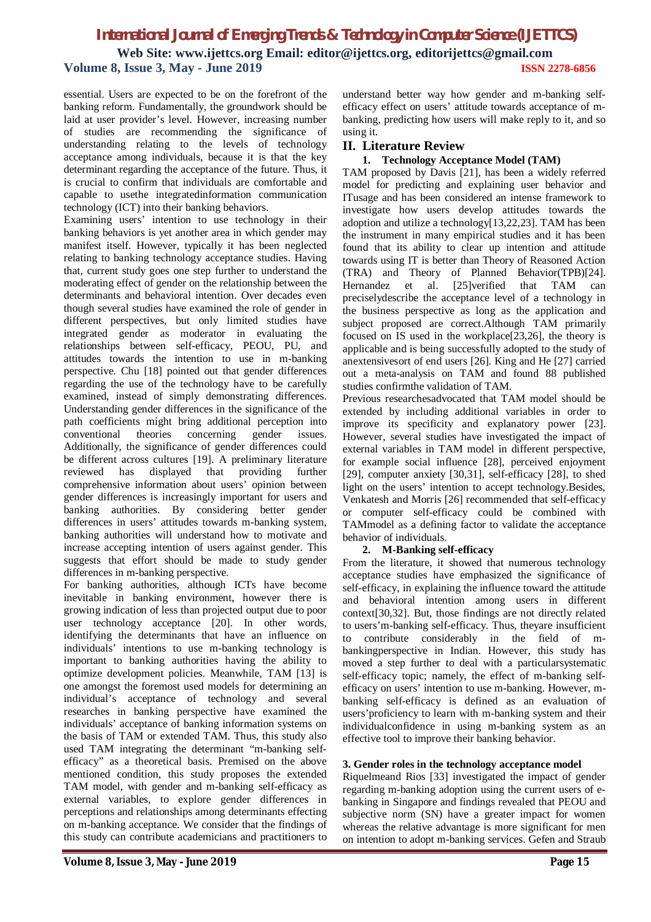essential. Users are expected to be on the forefront of the banking reform. Fundamentally, the groundwork should be laid at user provider's level. However, increasing number of studies are recommending the significance of understanding relating to the levels of technology acceptance among individuals, because it is that the key determinant regarding the acceptance of the future. Thus, it is crucial to confirm that individuals are comfortable and capable to usethe integratedinformation communication technology (ICT) into their banking behaviors.

Examining users' intention to use technology in their banking behaviors is yet another area in which gender may manifest itself. However, typically it has been neglected relating to banking technology acceptance studies. Having that, current study goes one step further to understand the moderating effect of gender on the relationship between the determinants and behavioral intention. Over decades even though several studies have examined the role of gender in different perspectives, but only limited studies have integrated gender as moderator in evaluating the relationships between self-efficacy, PEOU, PU, and attitudes towards the intention to use in m-banking perspective. Chu [18] pointed out that gender differences regarding the use of the technology have to be carefully examined, instead of simply demonstrating differences. Understanding gender differences in the significance of the path coefficients might bring additional perception into conventional theories concerning gender issues. conventional theories concerning gender issues. Additionally, the significance of gender differences could be different across cultures [19]. A preliminary literature reviewed has displayed that providing further comprehensive information about users' opinion between gender differences is increasingly important for users and banking authorities. By considering better gender differences in users' attitudes towards m-banking system, banking authorities will understand how to motivate and increase accepting intention of users against gender. This suggests that effort should be made to study gender differences in m-banking perspective.

For banking authorities, although ICTs have become inevitable in banking environment, however there is growing indication of less than projected output due to poor user technology acceptance [20]. In other words, identifying the determinants that have an influence on individuals' intentions to use m-banking technology is important to banking authorities having the ability to optimize development policies. Meanwhile, TAM [13] is one amongst the foremost used models for determining an individual's acceptance of technology and several researches in banking perspective have examined the individuals' acceptance of banking information systems on the basis of TAM or extended TAM. Thus, this study also used TAM integrating the determinant "m-banking selfefficacy" as a theoretical basis. Premised on the above mentioned condition, this study proposes the extended TAM model, with gender and m-banking self-efficacy as external variables, to explore gender differences in perceptions and relationships among determinants effecting on m-banking acceptance. We consider that the findings of this study can contribute academicians and practitioners to

understand better way how gender and m-banking selfefficacy effect on users' attitude towards acceptance of mbanking, predicting how users will make reply to it, and so using it.

### **II. Literature Review**

#### **1. Technology Acceptance Model (TAM)**

TAM proposed by Davis [21], has been a widely referred model for predicting and explaining user behavior and ITusage and has been considered an intense framework to investigate how users develop attitudes towards the adoption and utilize a technology[13,22,23]. TAM has been the instrument in many empirical studies and it has been found that its ability to clear up intention and attitude towards using IT is better than Theory of Reasoned Action (TRA) and Theory of Planned Behavior(TPB)[24]. Hernandez et al. [25]verified that TAM can preciselydescribe the acceptance level of a technology in the business perspective as long as the application and subject proposed are correct.Although TAM primarily focused on IS used in the workplace[23,26], the theory is applicable and is being successfully adopted to the study of anextensivesort of end users [26]. King and He [27] carried out a meta-analysis on TAM and found 88 published studies confirmthe validation of TAM.

Previous researchesadvocated that TAM model should be extended by including additional variables in order to improve its specificity and explanatory power [23]. However, several studies have investigated the impact of external variables in TAM model in different perspective, for example social influence [28], perceived enjoyment [29], computer anxiety [30,31], self-efficacy [28], to shed light on the users' intention to accept technology.Besides, Venkatesh and Morris [26] recommended that self-efficacy or computer self-efficacy could be combined with TAMmodel as a defining factor to validate the acceptance behavior of individuals.

#### **2. M-Banking self-efficacy**

From the literature, it showed that numerous technology acceptance studies have emphasized the significance of self-efficacy, in explaining the influence toward the attitude and behavioral intention among users in different context[30,32]. But, those findings are not directly related to users'm-banking self-efficacy. Thus, theyare insufficient to contribute considerably in the field of mbankingperspective in Indian. However, this study has moved a step further to deal with a particularsystematic self-efficacy topic; namely, the effect of m-banking selfefficacy on users' intention to use m-banking. However, mbanking self-efficacy is defined as an evaluation of users'proficiency to learn with m-banking system and their individualconfidence in using m-banking system as an effective tool to improve their banking behavior.

#### **3. Gender roles in the technology acceptance model**

Riquelmeand Rios [33] investigated the impact of gender regarding m-banking adoption using the current users of ebanking in Singapore and findings revealed that PEOU and subjective norm (SN) have a greater impact for women whereas the relative advantage is more significant for men on intention to adopt m-banking services. Gefen and Straub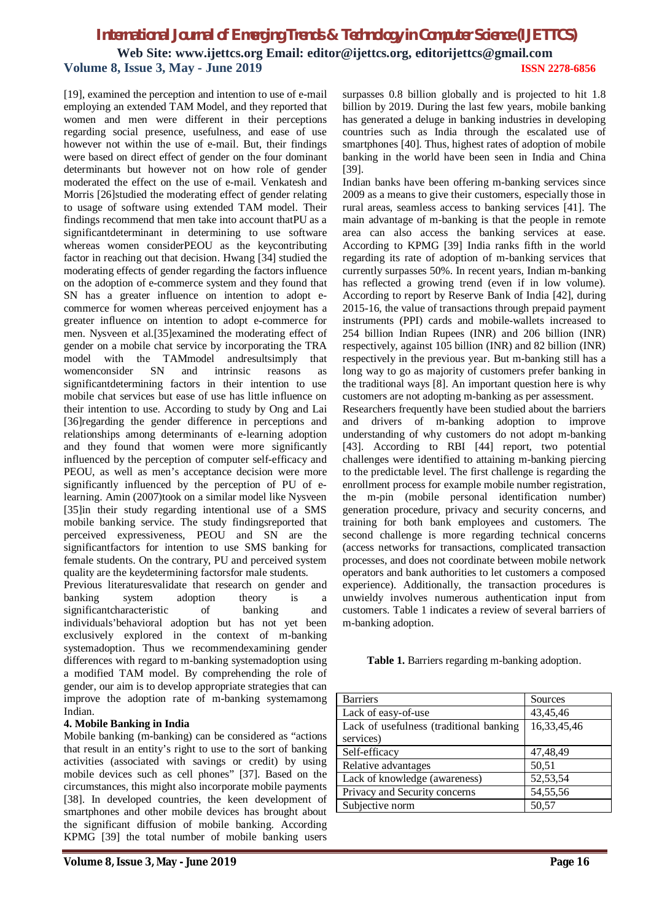**Web Site: www.ijettcs.org Email: editor@ijettcs.org, editorijettcs@gmail.com Volume 8, Issue 3, May - June 2019 ISSN 2278-6856**

[19], examined the perception and intention to use of e-mail employing an extended TAM Model, and they reported that women and men were different in their perceptions regarding social presence, usefulness, and ease of use however not within the use of e-mail. But, their findings were based on direct effect of gender on the four dominant determinants but however not on how role of gender moderated the effect on the use of e-mail. Venkatesh and Morris [26]studied the moderating effect of gender relating to usage of software using extended TAM model. Their findings recommend that men take into account thatPU as a significantdeterminant in determining to use software whereas women considerPEOU as the keycontributing factor in reaching out that decision. Hwang [34] studied the moderating effects of gender regarding the factors influence on the adoption of e-commerce system and they found that SN has a greater influence on intention to adopt ecommerce for women whereas perceived enjoyment has a greater influence on intention to adopt e-commerce for men. Nysveen et al.[35]examined the moderating effect of gender on a mobile chat service by incorporating the TRA model with the TAMmodel andresultsimply that womenconsider SN and intrinsic reasons as significantdetermining factors in their intention to use mobile chat services but ease of use has little influence on their intention to use. According to study by Ong and Lai [36]regarding the gender difference in perceptions and relationships among determinants of e-learning adoption and they found that women were more significantly influenced by the perception of computer self-efficacy and PEOU, as well as men's acceptance decision were more significantly influenced by the perception of PU of elearning. Amin (2007)took on a similar model like Nysveen [35]in their study regarding intentional use of a SMS mobile banking service. The study findingsreported that perceived expressiveness, PEOU and SN are the significantfactors for intention to use SMS banking for female students. On the contrary, PU and perceived system quality are the keydetermining factorsfor male students.

Previous literaturesvalidate that research on gender and banking system adoption theory is a significantcharacteristic of banking and individuals'behavioral adoption but has not yet been exclusively explored in the context of m-banking systemadoption. Thus we recommendexamining gender differences with regard to m-banking systemadoption using a modified TAM model. By comprehending the role of gender, our aim is to develop appropriate strategies that can improve the adoption rate of m-banking systemamong Indian.

#### **4. Mobile Banking in India**

Mobile banking (m-banking) can be considered as "actions that result in an entity's right to use to the sort of banking activities (associated with savings or credit) by using mobile devices such as cell phones" [37]. Based on the circumstances, this might also incorporate mobile payments [38]. In developed countries, the keen development of smartphones and other mobile devices has brought about the significant diffusion of mobile banking. According KPMG [39] the total number of mobile banking users

surpasses 0.8 billion globally and is projected to hit 1.8 billion by 2019. During the last few years, mobile banking has generated a deluge in banking industries in developing countries such as India through the escalated use of smartphones [40]. Thus, highest rates of adoption of mobile banking in the world have been seen in India and China [39].

Indian banks have been offering m-banking services since 2009 as a means to give their customers, especially those in rural areas, seamless access to banking services [41]. The main advantage of m-banking is that the people in remote area can also access the banking services at ease. According to KPMG [39] India ranks fifth in the world regarding its rate of adoption of m-banking services that currently surpasses 50%. In recent years, Indian m-banking has reflected a growing trend (even if in low volume). According to report by Reserve Bank of India [42], during 2015-16, the value of transactions through prepaid payment instruments (PPI) cards and mobile-wallets increased to 254 billion Indian Rupees (INR) and 206 billion (INR) respectively, against 105 billion (INR) and 82 billion (INR) respectively in the previous year. But m-banking still has a long way to go as majority of customers prefer banking in the traditional ways [8]. An important question here is why customers are not adopting m-banking as per assessment.

Researchers frequently have been studied about the barriers and drivers of m-banking adoption to improve understanding of why customers do not adopt m-banking [43]. According to RBI [44] report, two potential challenges were identified to attaining m-banking piercing to the predictable level. The first challenge is regarding the enrollment process for example mobile number registration, the m-pin (mobile personal identification number) generation procedure, privacy and security concerns, and training for both bank employees and customers. The second challenge is more regarding technical concerns (access networks for transactions, complicated transaction processes, and does not coordinate between mobile network operators and bank authorities to let customers a composed experience). Additionally, the transaction procedures is unwieldy involves numerous authentication input from customers. Table 1 indicates a review of several barriers of m-banking adoption.

**Table 1.** Barriers regarding m-banking adoption.

| <b>Barriers</b>                         | Sources     |
|-----------------------------------------|-------------|
| Lack of easy-of-use                     | 43,45,46    |
| Lack of usefulness (traditional banking | 16,33,45,46 |
| services)                               |             |
| Self-efficacy                           | 47,48,49    |
| Relative advantages                     | 50,51       |
| Lack of knowledge (awareness)           | 52,53,54    |
| Privacy and Security concerns           | 54,55,56    |
| Subjective norm                         | 50,57       |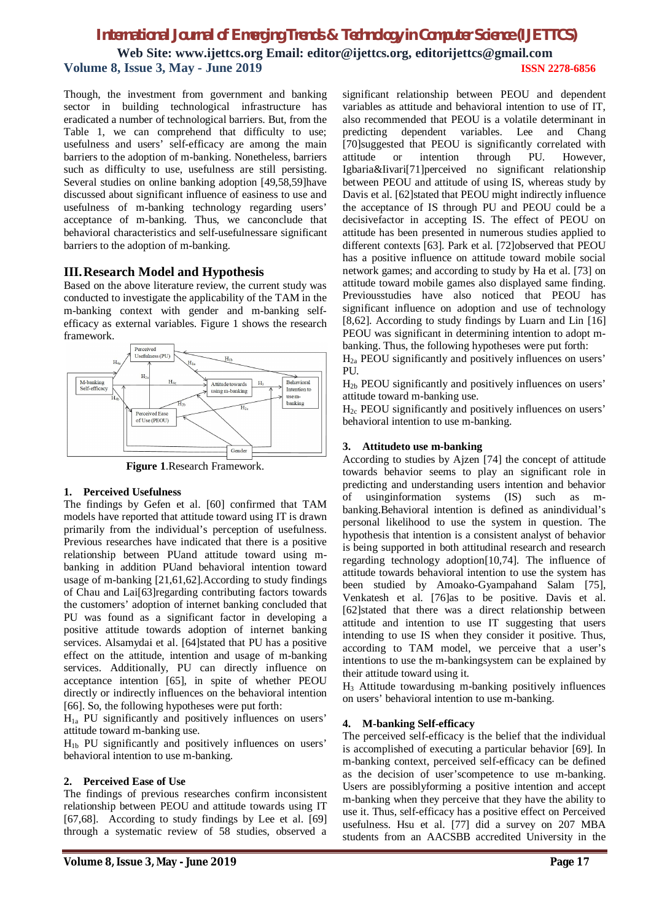Though, the investment from government and banking sector in building technological infrastructure has eradicated a number of technological barriers. But, from the Table 1, we can comprehend that difficulty to use; usefulness and users' self-efficacy are among the main barriers to the adoption of m-banking. Nonetheless, barriers such as difficulty to use, usefulness are still persisting. Several studies on online banking adoption [49,58,59]have discussed about significant influence of easiness to use and usefulness of m-banking technology regarding users' acceptance of m-banking. Thus, we canconclude that behavioral characteristics and self-usefulnessare significant barriers to the adoption of m-banking.

### **III.Research Model and Hypothesis**

Based on the above literature review, the current study was conducted to investigate the applicability of the TAM in the m-banking context with gender and m-banking selfefficacy as external variables. Figure 1 shows the research framework.



**Figure 1**.Research Framework.

#### **1. Perceived Usefulness**

The findings by Gefen et al. [60] confirmed that TAM models have reported that attitude toward using IT is drawn primarily from the individual's perception of usefulness. Previous researches have indicated that there is a positive relationship between PUand attitude toward using mbanking in addition PUand behavioral intention toward usage of m-banking [21,61,62].According to study findings of Chau and Lai[63]regarding contributing factors towards the customers' adoption of internet banking concluded that PU was found as a significant factor in developing a positive attitude towards adoption of internet banking services. Alsamydai et al. [64]stated that PU has a positive effect on the attitude, intention and usage of m-banking services. Additionally, PU can directly influence on acceptance intention [65], in spite of whether PEOU directly or indirectly influences on the behavioral intention [66]. So, the following hypotheses were put forth:

 $H_{1a}$  PU significantly and positively influences on users' attitude toward m-banking use.

 $H<sub>1b</sub>$  PU significantly and positively influences on users' behavioral intention to use m-banking.

#### **2. Perceived Ease of Use**

The findings of previous researches confirm inconsistent relationship between PEOU and attitude towards using IT [67,68]. According to study findings by Lee et al. [69] through a systematic review of 58 studies, observed a

significant relationship between PEOU and dependent variables as attitude and behavioral intention to use of IT, also recommended that PEOU is a volatile determinant in predicting dependent variables. Lee and Chang [70]suggested that PEOU is significantly correlated with attitude or intention through PU. However, Igbaria&Iivari[71]perceived no significant relationship between PEOU and attitude of using IS, whereas study by Davis et al. [62]stated that PEOU might indirectly influence the acceptance of IS through PU and PEOU could be a decisivefactor in accepting IS. The effect of PEOU on attitude has been presented in numerous studies applied to different contexts [63]. Park et al. [72]observed that PEOU has a positive influence on attitude toward mobile social network games; and according to study by Ha et al. [73] on attitude toward mobile games also displayed same finding. Previousstudies have also noticed that PEOU has significant influence on adoption and use of technology [8,62]. According to study findings by Luarn and Lin [16] PEOU was significant in determining intention to adopt mbanking. Thus, the following hypotheses were put forth:

 $H<sub>2a</sub>$  PEOU significantly and positively influences on users' PU.

 $H<sub>2b</sub>$  PEOU significantly and positively influences on users' attitude toward m-banking use.

 $H_{2c}$  PEOU significantly and positively influences on users' behavioral intention to use m-banking.

#### **3. Attitudeto use m-banking**

According to studies by Ajzen [74] the concept of attitude towards behavior seems to play an significant role in predicting and understanding users intention and behavior of usinginformation systems (IS) such as mbanking.Behavioral intention is defined as anindividual's personal likelihood to use the system in question. The hypothesis that intention is a consistent analyst of behavior is being supported in both attitudinal research and research regarding technology adoption[10,74]. The influence of attitude towards behavioral intention to use the system has been studied by Amoako-Gyampahand Salam [75], Venkatesh et al. [76]as to be positive. Davis et al. [62]stated that there was a direct relationship between attitude and intention to use IT suggesting that users intending to use IS when they consider it positive. Thus, according to TAM model, we perceive that a user's intentions to use the m-bankingsystem can be explained by their attitude toward using it.

H<sup>3</sup> Attitude towardusing m-banking positively influences on users' behavioral intention to use m-banking.

#### **4. M-banking Self-efficacy**

The perceived self-efficacy is the belief that the individual is accomplished of executing a particular behavior [69]. In m-banking context, perceived self-efficacy can be defined as the decision of user'scompetence to use m-banking. Users are possiblyforming a positive intention and accept m-banking when they perceive that they have the ability to use it. Thus, self-efficacy has a positive effect on Perceived usefulness. Hsu et al. [77] did a survey on 207 MBA students from an AACSBB accredited University in the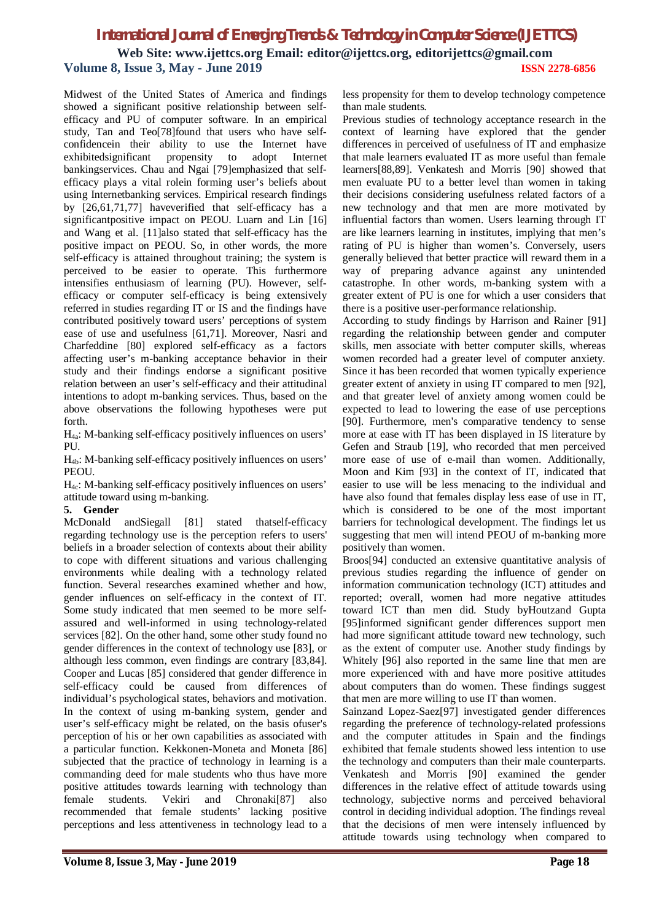Midwest of the United States of America and findings showed a significant positive relationship between selfefficacy and PU of computer software. In an empirical study, Tan and Teo[78]found that users who have selfconfidencein their ability to use the Internet have exhibitedsignificant propensity to adopt Internet bankingservices. Chau and Ngai [79]emphasized that selfefficacy plays a vital rolein forming user's beliefs about using Internetbanking services. Empirical research findings by [26,61,71,77] haveverified that self-efficacy has a significantpositive impact on PEOU. Luarn and Lin [16] and Wang et al. [11]also stated that self-efficacy has the positive impact on PEOU. So, in other words, the more self-efficacy is attained throughout training; the system is perceived to be easier to operate. This furthermore intensifies enthusiasm of learning (PU). However, selfefficacy or computer self-efficacy is being extensively referred in studies regarding IT or IS and the findings have contributed positively toward users' perceptions of system ease of use and usefulness [61,71]. Moreover, Nasri and Charfeddine [80] explored self-efficacy as a factors affecting user's m-banking acceptance behavior in their study and their findings endorse a significant positive relation between an user's self-efficacy and their attitudinal intentions to adopt m-banking services. Thus, based on the above observations the following hypotheses were put forth.

 $H_{4a}$ : M-banking self-efficacy positively influences on users' PU.

H4b: M-banking self-efficacy positively influences on users' PEOU.

H4c: M-banking self-efficacy positively influences on users' attitude toward using m-banking.

#### **5. Gender**

McDonald andSiegall [81] stated thatself-efficacy regarding technology use is the perception refers to users' beliefs in a broader selection of contexts about their ability to cope with different situations and various challenging environments while dealing with a technology related function. Several researches examined whether and how, gender influences on self-efficacy in the context of IT. Some study indicated that men seemed to be more selfassured and well-informed in using technology-related services [82]. On the other hand, some other study found no gender differences in the context of technology use [83], or although less common, even findings are contrary [83,84]. Cooper and Lucas [85] considered that gender difference in self-efficacy could be caused from differences of individual's psychological states, behaviors and motivation. In the context of using m-banking system, gender and user's self-efficacy might be related, on the basis ofuser's perception of his or her own capabilities as associated with a particular function. Kekkonen-Moneta and Moneta [86] subjected that the practice of technology in learning is a commanding deed for male students who thus have more positive attitudes towards learning with technology than female students. Vekiri and Chronaki[87] also recommended that female students' lacking positive perceptions and less attentiveness in technology lead to a less propensity for them to develop technology competence than male students.

Previous studies of technology acceptance research in the context of learning have explored that the gender differences in perceived of usefulness of IT and emphasize that male learners evaluated IT as more useful than female learners[88,89]. Venkatesh and Morris [90] showed that men evaluate PU to a better level than women in taking their decisions considering usefulness related factors of a new technology and that men are more motivated by influential factors than women. Users learning through IT are like learners learning in institutes, implying that men's rating of PU is higher than women's. Conversely, users generally believed that better practice will reward them in a way of preparing advance against any unintended catastrophe. In other words, m-banking system with a greater extent of PU is one for which a user considers that there is a positive user-performance relationship.

According to study findings by Harrison and Rainer [91] regarding the relationship between gender and computer skills, men associate with better computer skills, whereas women recorded had a greater level of computer anxiety. Since it has been recorded that women typically experience greater extent of anxiety in using IT compared to men [92], and that greater level of anxiety among women could be expected to lead to lowering the ease of use perceptions [90]. Furthermore, men's comparative tendency to sense more at ease with IT has been displayed in IS literature by Gefen and Straub [19], who recorded that men perceived more ease of use of e-mail than women. Additionally, Moon and Kim [93] in the context of IT, indicated that easier to use will be less menacing to the individual and have also found that females display less ease of use in IT, which is considered to be one of the most important barriers for technological development. The findings let us suggesting that men will intend PEOU of m-banking more positively than women.

Broos[94] conducted an extensive quantitative analysis of previous studies regarding the influence of gender on information communication technology (ICT) attitudes and reported; overall, women had more negative attitudes toward ICT than men did. Study byHoutzand Gupta [95]informed significant gender differences support men had more significant attitude toward new technology, such as the extent of computer use. Another study findings by Whitely [96] also reported in the same line that men are more experienced with and have more positive attitudes about computers than do women. These findings suggest that men are more willing to use IT than women.

Sainzand Lopez-Saez[97] investigated gender differences regarding the preference of technology-related professions and the computer attitudes in Spain and the findings exhibited that female students showed less intention to use the technology and computers than their male counterparts. Venkatesh and Morris [90] examined the gender differences in the relative effect of attitude towards using technology, subjective norms and perceived behavioral control in deciding individual adoption. The findings reveal that the decisions of men were intensely influenced by attitude towards using technology when compared to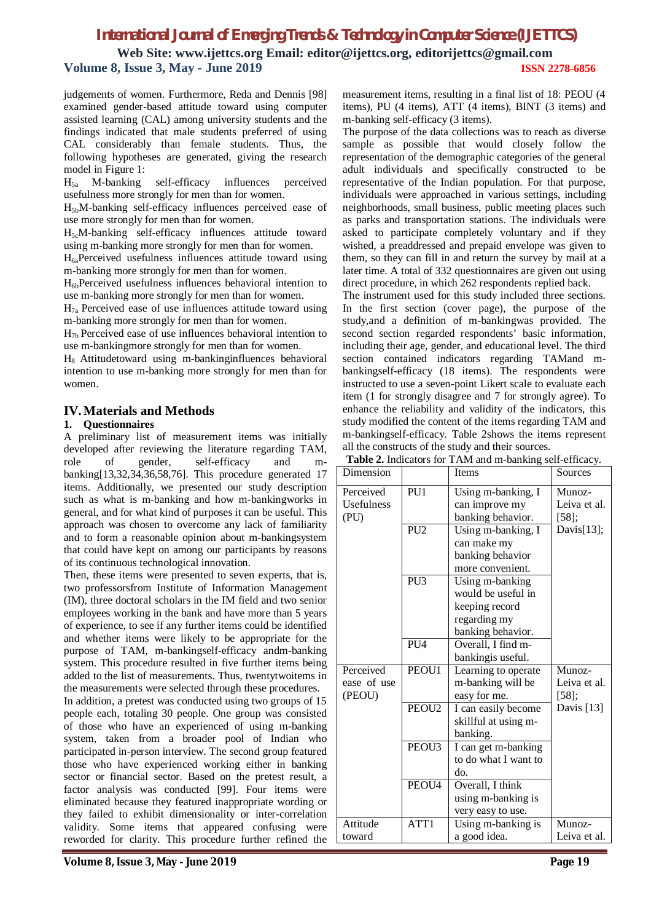**Web Site: www.ijettcs.org Email: editor@ijettcs.org, editorijettcs@gmail.com Volume 8, Issue 3, May - June 2019 ISSN 2278-6856**

judgements of women. Furthermore, Reda and Dennis [98] examined gender-based attitude toward using computer assisted learning (CAL) among university students and the findings indicated that male students preferred of using CAL considerably than female students. Thus, the following hypotheses are generated, giving the research model in Figure 1:

 $H_{5a}$  M-banking self-efficacy influences perceived usefulness more strongly for men than for women.

H5bM-banking self-efficacy influences perceived ease of use more strongly for men than for women.

H5cM-banking self-efficacy influences attitude toward using m-banking more strongly for men than for women.

 $H<sub>6a</sub>$ Perceived usefulness influences attitude toward using m-banking more strongly for men than for women.

H6bPerceived usefulness influences behavioral intention to use m-banking more strongly for men than for women.

 $H_{7a}$  Perceived ease of use influences attitude toward using m-banking more strongly for men than for women.

 $H_{7b}$  Perceived ease of use influences behavioral intention to use m-bankingmore strongly for men than for women.

H8 Attitudetoward using m-bankinginfluences behavioral intention to use m-banking more strongly for men than for women.

#### **IV.Materials and Methods**

#### **1. Questionnaires**

A preliminary list of measurement items was initially developed after reviewing the literature regarding TAM, role of gender, self-efficacy and mbanking[13,32,34,36,58,76]. This procedure generated 17 items. Additionally, we presented our study description such as what is m-banking and how m-bankingworks in general, and for what kind of purposes it can be useful. This approach was chosen to overcome any lack of familiarity and to form a reasonable opinion about m-bankingsystem that could have kept on among our participants by reasons of its continuous technological innovation.

Then, these items were presented to seven experts, that is, two professorsfrom Institute of Information Management (IM), three doctoral scholars in the IM field and two senior employees working in the bank and have more than 5 years of experience, to see if any further items could be identified and whether items were likely to be appropriate for the purpose of TAM, m-bankingself-efficacy andm-banking system. This procedure resulted in five further items being added to the list of measurements. Thus, twentytwoitems in the measurements were selected through these procedures. In addition, a pretest was conducted using two groups of 15 people each, totaling 30 people. One group was consisted of those who have an experienced of using m-banking system, taken from a broader pool of Indian who participated in-person interview. The second group featured those who have experienced working either in banking sector or financial sector. Based on the pretest result, a factor analysis was conducted [99]. Four items were eliminated because they featured inappropriate wording or they failed to exhibit dimensionality or inter-correlation validity. Some items that appeared confusing were

reworded for clarity. This procedure further refined the

measurement items, resulting in a final list of 18: PEOU (4 items), PU (4 items), ATT (4 items), BINT (3 items) and m-banking self-efficacy (3 items).

The purpose of the data collections was to reach as diverse sample as possible that would closely follow the representation of the demographic categories of the general adult individuals and specifically constructed to be representative of the Indian population. For that purpose, individuals were approached in various settings, including neighborhoods, small business, public meeting places such as parks and transportation stations. The individuals were asked to participate completely voluntary and if they wished, a preaddressed and prepaid envelope was given to them, so they can fill in and return the survey by mail at a later time. A total of 332 questionnaires are given out using direct procedure, in which 262 respondents replied back.

The instrument used for this study included three sections. In the first section (cover page), the purpose of the study,and a definition of m-bankingwas provided. The second section regarded respondents' basic information, including their age, gender, and educational level. The third section contained indicators regarding TAMand mbankingself-efficacy (18 items). The respondents were instructed to use a seven-point Likert scale to evaluate each item (1 for strongly disagree and 7 for strongly agree). To enhance the reliability and validity of the indicators, this study modified the content of the items regarding TAM and m-bankingself-efficacy. Table 2shows the items represent all the constructs of the study and their sources. **Table 2.** Indicators for TAM and m-banking self-efficacy.

| Dimension                                     |                   | <b>Items</b>                                                                                 | Sources                            |
|-----------------------------------------------|-------------------|----------------------------------------------------------------------------------------------|------------------------------------|
| Perceived<br>PU1<br><b>Usefulness</b><br>(PU) |                   | Using m-banking, I<br>can improve my<br>banking behavior.                                    | Munoz-<br>Leiva et al.<br>$[58]$ ; |
|                                               | PU <sub>2</sub>   | Using m-banking, I<br>can make my<br>banking behavior<br>more convenient.                    | Davis[13];                         |
|                                               | PU <sub>3</sub>   | Using m-banking<br>would be useful in<br>keeping record<br>regarding my<br>banking behavior. |                                    |
|                                               | <b>PU4</b>        | Overall, I find m-<br>bankingis useful.                                                      |                                    |
| Perceived<br>ease of use<br>(PEOU)            | PEOU1             | Learning to operate<br>m-banking will be<br>easy for me.                                     | Munoz-<br>Leiva et al.<br>$[58]$ ; |
|                                               | PEOU <sub>2</sub> | I can easily become<br>skillful at using m-<br>banking.                                      | Davis [13]                         |
|                                               | PEOU3             | I can get m-banking<br>to do what I want to<br>do.                                           |                                    |
|                                               | PEOU <sub>4</sub> | Overall, I think<br>using m-banking is<br>very easy to use.                                  |                                    |
| Attitude<br>toward                            | ATT1              | Using m-banking is<br>a good idea.                                                           | Munoz-<br>Leiva et al.             |

**Volume 8, Issue 3, May - June 2019 Page 19**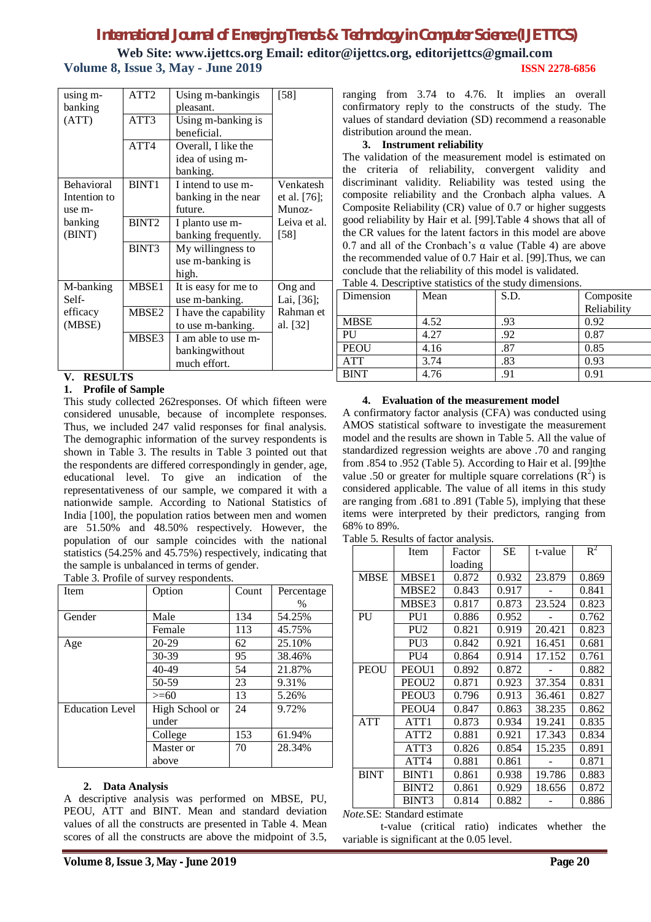**Web Site: www.ijettcs.org Email: editor@ijettcs.org, editorijettcs@gmail.com Volume 8, Issue 3, May - June 2019 ISSN 2278-6856**

| ATT2<br>using m-<br>banking<br>pleasant. |                   | Using m-bankingis     | [58]         |
|------------------------------------------|-------------------|-----------------------|--------------|
| (ATT)                                    | ATT3              | Using m-banking is    |              |
|                                          |                   | beneficial.           |              |
|                                          | ATT4              | Overall, I like the   |              |
|                                          |                   | idea of using m-      |              |
|                                          |                   | banking.              |              |
| <b>Behavioral</b>                        | BINT <sub>1</sub> | I intend to use m-    | Venkatesh    |
| Intention to                             |                   | banking in the near   | et al. [76]; |
| use m-                                   |                   | future.               | Munoz-       |
| banking                                  | BINT <sub>2</sub> | I planto use m-       | Leiva et al. |
| (BINT)                                   |                   | banking frequently.   | [58]         |
|                                          | BINT3             | My willingness to     |              |
|                                          |                   | use m-banking is      |              |
|                                          |                   | high.                 |              |
| M-banking                                | MBSE1             | It is easy for me to  | Ong and      |
| Self-                                    |                   | use m-banking.        | Lai, [36];   |
| efficacy                                 | MBSE2             | I have the capability | Rahman et    |
| (MBSE)                                   |                   | to use m-banking.     | al. [32]     |
|                                          | MBSE3             | I am able to use m-   |              |
|                                          |                   | bankingwithout        |              |
|                                          |                   | much effort.          |              |

#### **V. RESULTS**

#### **1. Profile of Sample**

This study collected 262responses. Of which fifteen were considered unusable, because of incomplete responses. Thus, we included 247 valid responses for final analysis. The demographic information of the survey respondents is shown in Table 3. The results in Table 3 pointed out that the respondents are differed correspondingly in gender, age, educational level. To give an indication of the representativeness of our sample, we compared it with a nationwide sample. According to National Statistics of India [100], the population ratios between men and women are 51.50% and 48.50% respectively. However, the population of our sample coincides with the national statistics (54.25% and 45.75%) respectively, indicating that the sample is unbalanced in terms of gender.

| Table 3. Profile of survey respondents. |  |
|-----------------------------------------|--|
|                                         |  |

| Item                   | Option         | Count | Percentage |
|------------------------|----------------|-------|------------|
|                        |                |       | $\%$       |
| Gender                 | Male           | 134   | 54.25%     |
|                        | Female         | 113   | 45.75%     |
| Age                    | 20-29          | 62    | 25.10%     |
|                        | 30-39          | 95    | 38.46%     |
|                        | $40 - 49$      | 54    | 21.87%     |
|                        | 50-59          | 23    | 9.31%      |
|                        | $>= 60$        | 13    | 5.26%      |
| <b>Education Level</b> | High School or | 24    | 9.72%      |
|                        | under          |       |            |
|                        | College        | 153   | 61.94%     |
|                        | Master or      | 70    | 28.34%     |
|                        | above          |       |            |
|                        |                |       |            |

#### **2. Data Analysis**

A descriptive analysis was performed on MBSE, PU, PEOU, ATT and BINT. Mean and standard deviation values of all the constructs are presented in Table 4. Mean scores of all the constructs are above the midpoint of 3.5,

ranging from 3.74 to 4.76. It implies an overall confirmatory reply to the constructs of the study. The values of standard deviation (SD) recommend a reasonable distribution around the mean.

#### **3. Instrument reliability**

The validation of the measurement model is estimated on the criteria of reliability, convergent validity and discriminant validity. Reliability was tested using the composite reliability and the Cronbach alpha values. A Composite Reliability (CR) value of 0.7 or higher suggests good reliability by Hair et al. [99].Table 4 shows that all of the CR values for the latent factors in this model are above 0.7 and all of the Cronbach's  $\alpha$  value (Table 4) are above the recommended value of 0.7 Hair et al. [99].Thus, we can conclude that the reliability of this model is validated. Table 4. Descriptive statistics of the study dimensions.

| Dimension   | Mean | S.D. | Composite   |
|-------------|------|------|-------------|
|             |      |      | Reliability |
| <b>MBSE</b> | 4.52 | .93  | 0.92        |
| PU          | 4.27 | .92  | 0.87        |
| <b>PEOU</b> | 4.16 | .87  | 0.85        |
| <b>ATT</b>  | 3.74 | .83  | 0.93        |
| <b>BINT</b> | 4.76 | .91  | 0.91        |

#### **4. Evaluation of the measurement model**

A confirmatory factor analysis (CFA) was conducted using AMOS statistical software to investigate the measurement model and the results are shown in Table 5. All the value of standardized regression weights are above .70 and ranging from .854 to .952 (Table 5). According to Hair et al. [99]the value .50 or greater for multiple square correlations  $(R^2)$  is considered applicable. The value of all items in this study are ranging from .681 to .891 (Table 5), implying that these items were interpreted by their predictors, ranging from 68% to 89%.

Table 5. Results of factor analysis.

|             | Item              | Factor  | SЕ    | t-value | $R^2$ |
|-------------|-------------------|---------|-------|---------|-------|
|             |                   | loading |       |         |       |
| <b>MBSE</b> | MBSE1             | 0.872   | 0.932 | 23.879  | 0.869 |
|             | MBSE2             | 0.843   | 0.917 |         | 0.841 |
|             | MBSE3             | 0.817   | 0.873 | 23.524  | 0.823 |
| PU          | PU <sub>1</sub>   | 0.886   | 0.952 |         | 0.762 |
|             | PU <sub>2</sub>   | 0.821   | 0.919 | 20.421  | 0.823 |
|             | PU <sub>3</sub>   | 0.842   | 0.921 | 16.451  | 0.681 |
|             | PU <sub>4</sub>   | 0.864   | 0.914 | 17.152  | 0.761 |
| PEOU        | PEOU1             | 0.892   | 0.872 |         | 0.882 |
|             | PEOU <sub>2</sub> | 0.871   | 0.923 | 37.354  | 0.831 |
|             | PEOU3             | 0.796   | 0.913 | 36.461  | 0.827 |
|             | PEOU4             | 0.847   | 0.863 | 38.235  | 0.862 |
| <b>ATT</b>  | ATT1              | 0.873   | 0.934 | 19.241  | 0.835 |
|             | ATT <sub>2</sub>  | 0.881   | 0.921 | 17.343  | 0.834 |
|             | ATT3              | 0.826   | 0.854 | 15.235  | 0.891 |
|             | ATT4              | 0.881   | 0.861 |         | 0.871 |
| <b>BINT</b> | <b>BINT1</b>      | 0.861   | 0.938 | 19.786  | 0.883 |
|             | BINT <sub>2</sub> | 0.861   | 0.929 | 18.656  | 0.872 |
|             | BINT3             | 0.814   | 0.882 |         | 0.886 |

*Note.*SE: Standard estimate

 t-value (critical ratio) indicates whether the variable is significant at the 0.05 level.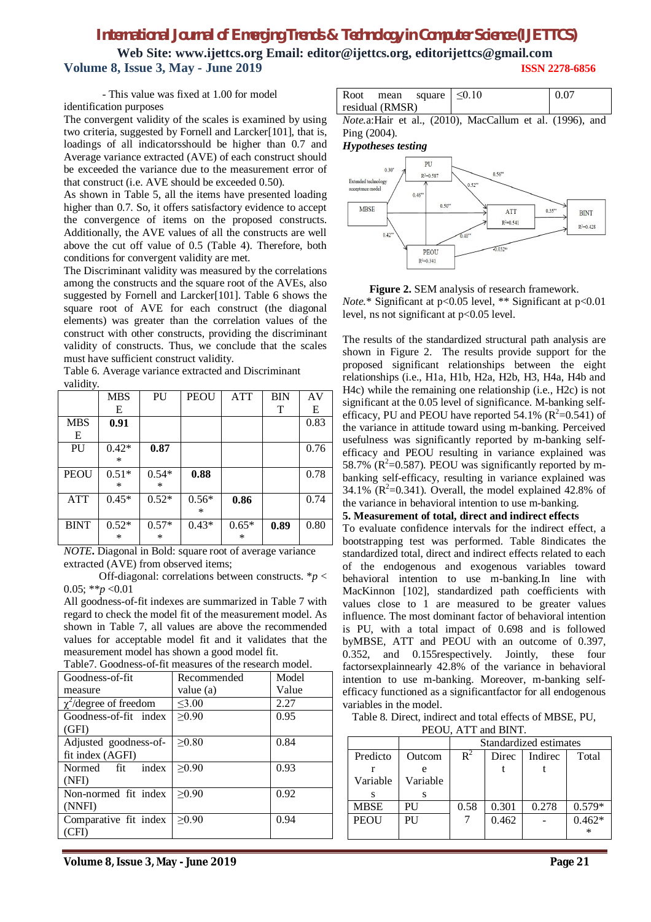**Web Site: www.ijettcs.org Email: editor@ijettcs.org, editorijettcs@gmail.com Volume 8, Issue 3, May - June 2019 ISSN 2278-6856**

- This value was fixed at 1.00 for model

identification purposes

The convergent validity of the scales is examined by using two criteria, suggested by Fornell and Larcker[101], that is, loadings of all indicatorsshould be higher than 0.7 and Average variance extracted (AVE) of each construct should be exceeded the variance due to the measurement error of that construct (i.e. AVE should be exceeded 0.50).

As shown in Table 5, all the items have presented loading higher than 0.7. So, it offers satisfactory evidence to accept the convergence of items on the proposed constructs. Additionally, the AVE values of all the constructs are well above the cut off value of 0.5 (Table 4). Therefore, both conditions for convergent validity are met.

The Discriminant validity was measured by the correlations among the constructs and the square root of the AVEs, also suggested by Fornell and Larcker[101]. Table 6 shows the square root of AVE for each construct (the diagonal elements) was greater than the correlation values of the construct with other constructs, providing the discriminant validity of constructs. Thus, we conclude that the scales must have sufficient construct validity.

| vanuv,      |         |         |             |         |            |      |
|-------------|---------|---------|-------------|---------|------------|------|
|             | MBS     | PU      | <b>PEOU</b> | ATT     | <b>BIN</b> | AV   |
|             | E       |         |             |         | T          | E    |
| <b>MBS</b>  | 0.91    |         |             |         |            | 0.83 |
| E           |         |         |             |         |            |      |
| PU          | $0.42*$ | 0.87    |             |         |            | 0.76 |
|             | $\ast$  |         |             |         |            |      |
| <b>PEOU</b> | $0.51*$ | $0.54*$ | 0.88        |         |            | 0.78 |
|             | $\ast$  | $\ast$  |             |         |            |      |
| ATT         | $0.45*$ | $0.52*$ | $0.56*$     | 0.86    |            | 0.74 |
|             |         |         | $\ast$      |         |            |      |
| <b>BINT</b> | $0.52*$ | $0.57*$ | $0.43*$     | $0.65*$ | 0.89       | 0.80 |
|             | *       | *       |             | *       |            |      |

Table 6. Average variance extracted and Discriminant validity.

*NOTE***.** Diagonal in Bold: square root of average variance extracted (AVE) from observed items;

 Off-diagonal: correlations between constructs. \**p* < 0.05; \*\* $p < 0.01$ 

All goodness-of-fit indexes are summarized in Table 7 with regard to check the model fit of the measurement model. As shown in Table 7, all values are above the recommended values for acceptable model fit and it validates that the measurement model has shown a good model fit.

| Tuolo A Olodiloss of IRThousures of the research model. |             |       |
|---------------------------------------------------------|-------------|-------|
| Goodness-of-fit                                         | Recommended | Model |
| measure                                                 | value (a)   | Value |
| $\chi^2$ /degree of freedom                             | $\leq 3.00$ | 2.27  |
| Goodness-of-fit index                                   | $\geq 0.90$ | 0.95  |
| (GFI)                                                   |             |       |
| Adjusted goodness-of-                                   | >0.80       | 0.84  |
| fit index (AGFI)                                        |             |       |
| Normed fit index                                        | >0.90       | 0.93  |
| (NFI)                                                   |             |       |
| Non-normed fit index                                    | >0.90       | 0.92  |
| (NNFI)                                                  |             |       |
| Comparative fit index                                   | >0.90       | 0.94  |
| (CFI)                                                   |             |       |
|                                                         |             |       |

Table7. Goodness-of-fit measures of the research model.

| 0.07<br>Root mean square $\leq 0.10$<br>residual (RMSR) | $-$ |  |
|---------------------------------------------------------|-----|--|
|                                                         |     |  |
|                                                         |     |  |

*Note.*a:Hair et al., (2010), MacCallum et al. (1996), and Ping (2004).

#### *Hypotheses testing*



**Figure 2.** SEM analysis of research framework. *Note.*\* Significant at p<0.05 level, \*\* Significant at p<0.01 level, ns not significant at  $p<0.05$  level.

The results of the standardized structural path analysis are shown in Figure 2. The results provide support for the proposed significant relationships between the eight relationships (i.e., H1a, H1b, H2a, H2b, H3, H4a, H4b and H4c) while the remaining one relationship (i.e., H2c) is not significant at the 0.05 level of significance. M-banking selfefficacy, PU and PEOU have reported 54.1%  $(R^2=0.541)$  of the variance in attitude toward using m-banking. Perceived usefulness was significantly reported by m-banking selfefficacy and PEOU resulting in variance explained was 58.7% ( $R^2$ =0.587). PEOU was significantly reported by mbanking self-efficacy, resulting in variance explained was 34.1%  $(R^2=0.341)$ . Overall, the model explained 42.8% of the variance in behavioral intention to use m-banking.

#### **5. Measurement of total, direct and indirect effects**

To evaluate confidence intervals for the indirect effect, a bootstrapping test was performed. Table 8indicates the standardized total, direct and indirect effects related to each of the endogenous and exogenous variables toward behavioral intention to use m-banking.In line with MacKinnon [102], standardized path coefficients with values close to 1 are measured to be greater values influence. The most dominant factor of behavioral intention is PU, with a total impact of 0.698 and is followed byMBSE, ATT and PEOU with an outcome of 0.397, 0.352, and 0.155respectively. Jointly, these four factorsexplainnearly 42.8% of the variance in behavioral intention to use m-banking. Moreover, m-banking selfefficacy functioned as a significantfactor for all endogenous variables in the model.

Table 8. Direct, indirect and total effects of MBSE, PU,

|  |  |  | PEOU, ATT and BINT. |
|--|--|--|---------------------|
|--|--|--|---------------------|

|          |          | Standardized estimates                      |       |       |          |  |
|----------|----------|---------------------------------------------|-------|-------|----------|--|
| Predicto | Outcom   | $\mathbb{R}^2$<br>Direc<br>Indirec<br>Total |       |       |          |  |
|          |          |                                             |       |       |          |  |
| Variable | Variable |                                             |       |       |          |  |
|          |          |                                             |       |       |          |  |
| MBSE     | PU       | 0.58                                        | 0.301 | 0.278 | $0.579*$ |  |
| PEOU     | PU       |                                             | 0.462 |       | $0.462*$ |  |
|          |          |                                             |       |       | ∗        |  |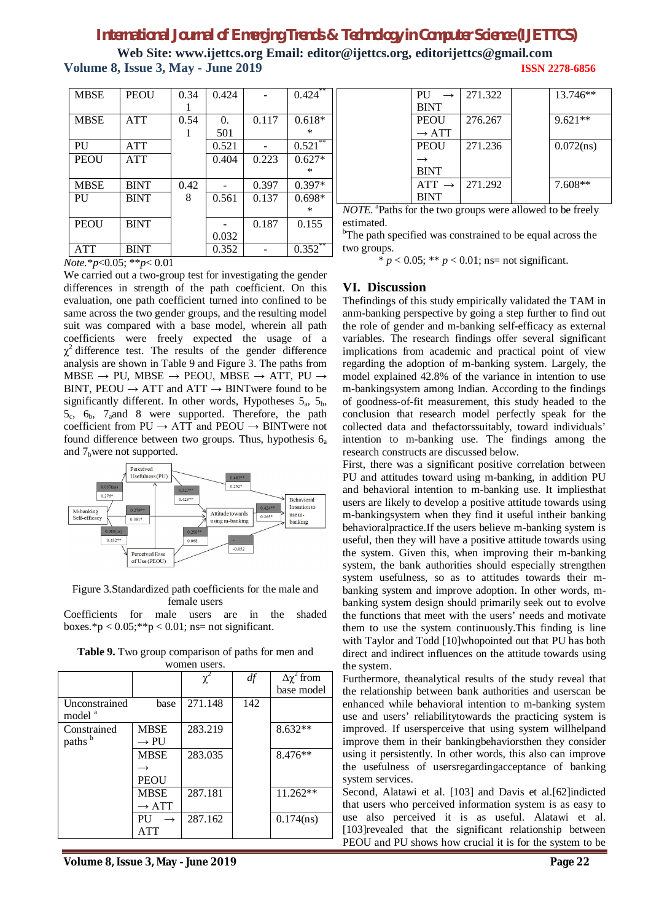**Web Site: www.ijettcs.org Email: editor@ijettcs.org, editorijettcs@gmail.com Volume 8, Issue 3, May - June 2019 ISSN 2278-6856**

| <b>MBSE</b> | <b>PEOU</b> | 0.34 | 0.424      |       | $0.424$ **  |
|-------------|-------------|------|------------|-------|-------------|
|             |             |      |            |       |             |
| <b>MBSE</b> | <b>ATT</b>  | 0.54 | $\Omega$ . | 0.117 | $0.618*$    |
|             |             |      | 501        |       | $\ast$      |
| PU          | ATT         |      | 0.521      |       | **<br>0.521 |
| <b>PEOU</b> | ATT         |      | 0.404      | 0.223 | $0.627*$    |
|             |             |      |            |       | ∗           |
| <b>MBSE</b> | <b>BINT</b> | 0.42 |            | 0.397 | $0.397*$    |
| PU          | <b>BINT</b> | 8    | 0.561      | 0.137 | $0.698*$    |
|             |             |      |            |       | ∗           |
| PEOU        | <b>BINT</b> |      |            | 0.187 | 0.155       |
|             |             |      | 0.032      |       |             |
| <b>ATT</b>  | <b>BINT</b> |      | 0.352      |       | **<br>0.352 |

| .                                                | I DIN I |
|--------------------------------------------------|---------|
| <i>Note</i> .* <i>p</i> <0.05; ** <i>p</i> <0.01 |         |

We carried out a two-group test for investigating the gender differences in strength of the path coefficient. On this evaluation, one path coefficient turned into confined to be same across the two gender groups, and the resulting model suit was compared with a base model, wherein all path coefficients were freely expected the usage of a  $\chi^2$  difference test. The results of the gender difference analysis are shown in Table 9 and Figure 3. The paths from  $MBSE \rightarrow PU$ ,  $MBSE \rightarrow PEOU$ ,  $MBSE \rightarrow ATT$ ,  $PU \rightarrow$ BINT, PEOU  $\rightarrow$  ATT and ATT  $\rightarrow$  BINTwere found to be significantly different. In other words, Hypotheses  $5_a$ ,  $5_b$ ,  $5_c$ ,  $6_b$ ,  $7_a$ and 8 were supported. Therefore, the path coefficient from  $PU \rightarrow ATT$  and  $PEOU \rightarrow BINT$  were not found difference between two groups. Thus, hypothesis  $6_a$ and  $7<sub>b</sub>$  were not supported.



#### Figure 3.Standardized path coefficients for the male and female users

Coefficients for male users are in the shaded boxes.\*p <  $0.05$ ;\*\*p <  $0.01$ ; ns= not significant.

 $\chi^2$ *df* Δχ 2 from base model Unconstrained base model<sup>a</sup> 271.148 142 **Constrained** paths<sup>b</sup> MBSE  $\rightarrow$  PU 283.219 8.632\*\* MBSE  $\rightarrow$ PEOU 283.035 8.476\*\* MBSE  $\rightarrow$  ATT 287.181 11.262\*\*  $PU \rightarrow$ ATT 287.162 0.174(ns)

**Table 9.** Two group comparison of paths for men and women users.

| PU                | 271.322 | 13.746**     |
|-------------------|---------|--------------|
| <b>BINT</b>       |         |              |
| <b>PEOU</b>       | 276.267 | $9.621**$    |
| $\rightarrow$ ATT |         |              |
| <b>PEOU</b>       | 271.236 | $0.072$ (ns) |
|                   |         |              |
| <b>BINT</b>       |         |              |
| $ATT \rightarrow$ | 271.292 | $7.608**$    |
| <b>BINT</b>       |         |              |

*NOTE.* <sup>a</sup> Paths for the two groups were allowed to be freely estimated.

<sup>b</sup>The path specified was constrained to be equal across the two groups.

\*  $p < 0.05$ ; \*\*  $p < 0.01$ ; ns= not significant.

### **VI. Discussion**

Thefindings of this study empirically validated the TAM in anm-banking perspective by going a step further to find out the role of gender and m-banking self-efficacy as external variables. The research findings offer several significant implications from academic and practical point of view regarding the adoption of m-banking system. Largely, the model explained 42.8% of the variance in intention to use m-bankingsystem among Indian. According to the findings of goodness-of-fit measurement, this study headed to the conclusion that research model perfectly speak for the collected data and thefactorssuitably, toward individuals' intention to m-banking use. The findings among the research constructs are discussed below.

First, there was a significant positive correlation between PU and attitudes toward using m-banking, in addition PU and behavioral intention to m-banking use. It impliesthat users are likely to develop a positive attitude towards using m-bankingsystem when they find it useful intheir banking behavioralpractice.If the users believe m-banking system is useful, then they will have a positive attitude towards using the system. Given this, when improving their m-banking system, the bank authorities should especially strengthen system usefulness, so as to attitudes towards their mbanking system and improve adoption. In other words, mbanking system design should primarily seek out to evolve the functions that meet with the users' needs and motivate them to use the system continuously.This finding is line with Taylor and Todd [10]whopointed out that PU has both direct and indirect influences on the attitude towards using the system.

Furthermore, theanalytical results of the study reveal that the relationship between bank authorities and userscan be enhanced while behavioral intention to m-banking system use and users' reliabilitytowards the practicing system is improved. If usersperceive that using system willhelpand improve them in their bankingbehaviorsthen they consider using it persistently. In other words, this also can improve the usefulness of usersregardingacceptance of banking system services.

Second, Alatawi et al. [103] and Davis et al.[62]indicted that users who perceived information system is as easy to use also perceived it is as useful. Alatawi et al. [103] revealed that the significant relationship between PEOU and PU shows how crucial it is for the system to be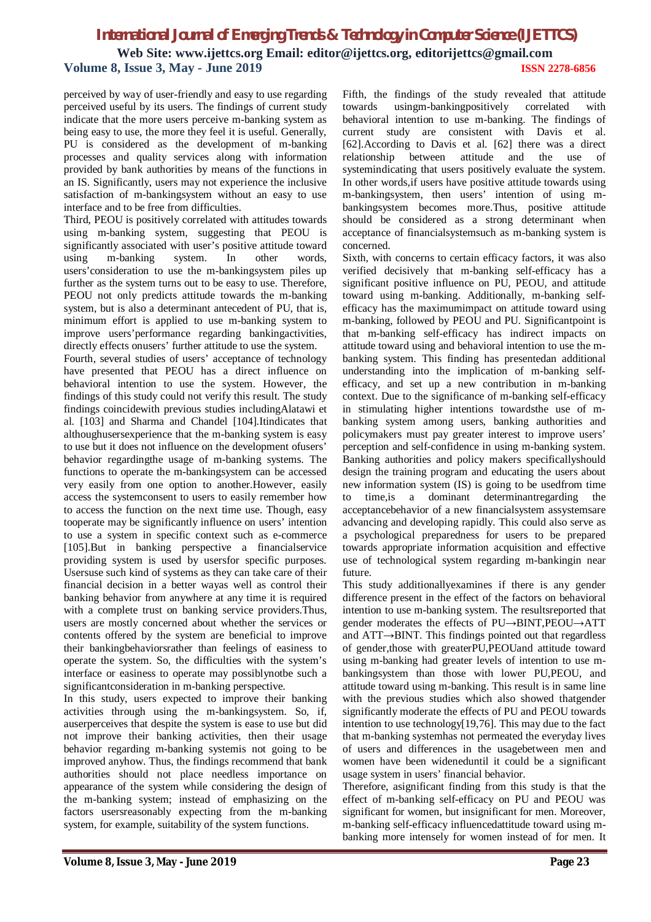perceived by way of user-friendly and easy to use regarding perceived useful by its users. The findings of current study indicate that the more users perceive m-banking system as being easy to use, the more they feel it is useful. Generally, PU is considered as the development of m-banking processes and quality services along with information provided by bank authorities by means of the functions in an IS. Significantly, users may not experience the inclusive satisfaction of m-bankingsystem without an easy to use interface and to be free from difficulties.

Third, PEOU is positively correlated with attitudes towards using m-banking system, suggesting that PEOU is significantly associated with user's positive attitude toward using m-banking system. In other words, users'consideration to use the m-bankingsystem piles up further as the system turns out to be easy to use. Therefore, PEOU not only predicts attitude towards the m-banking system, but is also a determinant antecedent of PU, that is, minimum effort is applied to use m-banking system to improve users'performance regarding bankingactivities, directly effects onusers' further attitude to use the system.

Fourth, several studies of users' acceptance of technology have presented that PEOU has a direct influence on behavioral intention to use the system. However, the findings of this study could not verify this result. The study findings coincidewith previous studies includingAlatawi et al. [103] and Sharma and Chandel [104].Itindicates that althoughusersexperience that the m-banking system is easy to use but it does not influence on the development ofusers' behavior regardingthe usage of m-banking systems. The functions to operate the m-bankingsystem can be accessed very easily from one option to another.However, easily access the systemconsent to users to easily remember how to access the function on the next time use. Though, easy tooperate may be significantly influence on users' intention to use a system in specific context such as e-commerce [105].But in banking perspective a financialservice providing system is used by usersfor specific purposes. Usersuse such kind of systems as they can take care of their financial decision in a better wayas well as control their banking behavior from anywhere at any time it is required with a complete trust on banking service providers.Thus, users are mostly concerned about whether the services or contents offered by the system are beneficial to improve their bankingbehaviorsrather than feelings of easiness to operate the system. So, the difficulties with the system's interface or easiness to operate may possiblynotbe such a significantconsideration in m-banking perspective.

In this study, users expected to improve their banking activities through using the m-bankingsystem. So, if, auserperceives that despite the system is ease to use but did not improve their banking activities, then their usage behavior regarding m-banking systemis not going to be improved anyhow. Thus, the findings recommend that bank authorities should not place needless importance on appearance of the system while considering the design of the m-banking system; instead of emphasizing on the factors usersreasonably expecting from the m-banking system, for example, suitability of the system functions.

Fifth, the findings of the study revealed that attitude towards usingm-bankingpositively correlated with behavioral intention to use m-banking. The findings of current study are consistent with Davis et al. [62].According to Davis et al. [62] there was a direct relationship between attitude and the use of systemindicating that users positively evaluate the system. In other words,if users have positive attitude towards using m-bankingsystem, then users' intention of using mbankingsystem becomes more.Thus, positive attitude should be considered as a strong determinant when acceptance of financialsystemsuch as m-banking system is concerned.

Sixth, with concerns to certain efficacy factors, it was also verified decisively that m-banking self-efficacy has a significant positive influence on PU, PEOU, and attitude toward using m-banking. Additionally, m-banking selfefficacy has the maximumimpact on attitude toward using m-banking, followed by PEOU and PU. Significantpoint is that m-banking self-efficacy has indirect impacts on attitude toward using and behavioral intention to use the mbanking system. This finding has presentedan additional understanding into the implication of m-banking selfefficacy, and set up a new contribution in m-banking context. Due to the significance of m-banking self-efficacy in stimulating higher intentions towardsthe use of mbanking system among users, banking authorities and policymakers must pay greater interest to improve users' perception and self-confidence in using m-banking system. Banking authorities and policy makers specificallyshould design the training program and educating the users about new information system (IS) is going to be usedfrom time to time,is a dominant determinantregarding the acceptancebehavior of a new financialsystem assystemsare advancing and developing rapidly. This could also serve as a psychological preparedness for users to be prepared towards appropriate information acquisition and effective use of technological system regarding m-bankingin near future.

This study additionallyexamines if there is any gender difference present in the effect of the factors on behavioral intention to use m-banking system. The resultsreported that gender moderates the effects of PU→BINT,PEOU→ATT and ATT→BINT. This findings pointed out that regardless of gender,those with greaterPU,PEOUand attitude toward using m-banking had greater levels of intention to use mbankingsystem than those with lower PU,PEOU, and attitude toward using m-banking. This result is in same line with the previous studies which also showed thatgender significantly moderate the effects of PU and PEOU towards intention to use technology[19,76]. This may due to the fact that m-banking systemhas not permeated the everyday lives of users and differences in the usagebetween men and women have been wideneduntil it could be a significant usage system in users' financial behavior.

Therefore, asignificant finding from this study is that the effect of m-banking self-efficacy on PU and PEOU was significant for women, but insignificant for men. Moreover, m-banking self-efficacy influencedattitude toward using mbanking more intensely for women instead of for men. It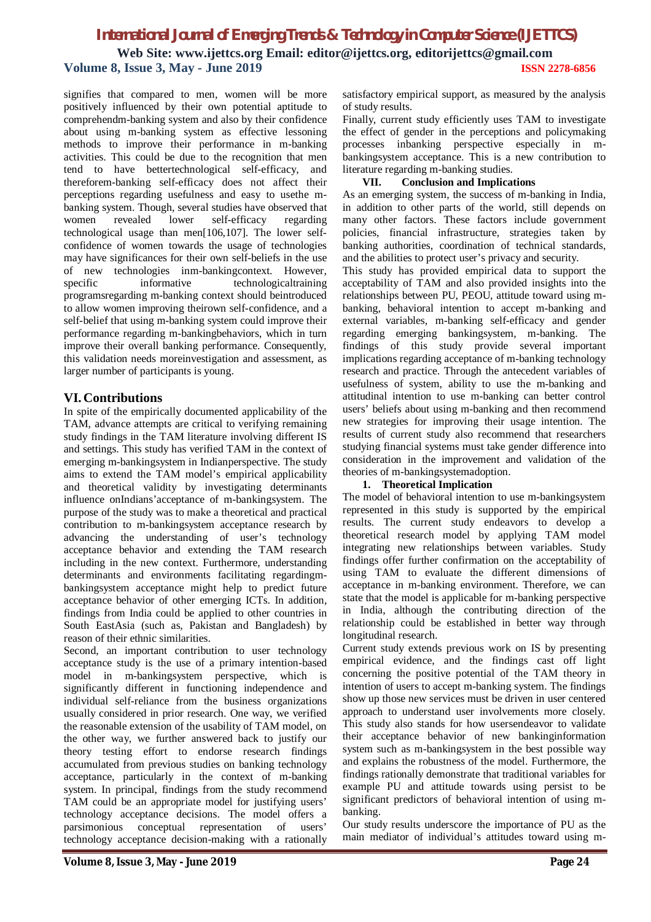**Web Site: www.ijettcs.org Email: editor@ijettcs.org, editorijettcs@gmail.com Volume 8, Issue 3, May - June 2019 ISSN 2278-6856**

signifies that compared to men, women will be more positively influenced by their own potential aptitude to comprehendm-banking system and also by their confidence about using m-banking system as effective lessoning methods to improve their performance in m-banking activities. This could be due to the recognition that men tend to have bettertechnological self-efficacy, and thereforem-banking self-efficacy does not affect their perceptions regarding usefulness and easy to usethe mbanking system. Though, several studies have observed that women revealed lower self-efficacy regarding technological usage than men[106,107]. The lower selfconfidence of women towards the usage of technologies may have significances for their own self-beliefs in the use of new technologies inm-bankingcontext. However,<br>specific informative technologicaltraining specific informative technologicaltraining programsregarding m-banking context should beintroduced to allow women improving theirown self-confidence, and a self-belief that using m-banking system could improve their performance regarding m-bankingbehaviors, which in turn improve their overall banking performance. Consequently, this validation needs moreinvestigation and assessment, as larger number of participants is young.

### **VI. Contributions**

In spite of the empirically documented applicability of the TAM, advance attempts are critical to verifying remaining study findings in the TAM literature involving different IS and settings. This study has verified TAM in the context of emerging m-bankingsystem in Indianperspective. The study aims to extend the TAM model's empirical applicability and theoretical validity by investigating determinants influence onIndians'acceptance of m-bankingsystem. The purpose of the study was to make a theoretical and practical contribution to m-bankingsystem acceptance research by advancing the understanding of user's technology acceptance behavior and extending the TAM research including in the new context. Furthermore, understanding determinants and environments facilitating regardingmbankingsystem acceptance might help to predict future acceptance behavior of other emerging ICTs. In addition, findings from India could be applied to other countries in South EastAsia (such as, Pakistan and Bangladesh) by reason of their ethnic similarities.

Second, an important contribution to user technology acceptance study is the use of a primary intention-based model in m-bankingsystem perspective, which is significantly different in functioning independence and individual self-reliance from the business organizations usually considered in prior research. One way, we verified the reasonable extension of the usability of TAM model, on the other way, we further answered back to justify our theory testing effort to endorse research findings accumulated from previous studies on banking technology acceptance, particularly in the context of m-banking system. In principal, findings from the study recommend TAM could be an appropriate model for justifying users' technology acceptance decisions. The model offers a parsimonious conceptual representation of users' technology acceptance decision-making with a rationally

satisfactory empirical support, as measured by the analysis of study results.

Finally, current study efficiently uses TAM to investigate the effect of gender in the perceptions and policymaking processes inbanking perspective especially in mbankingsystem acceptance. This is a new contribution to literature regarding m-banking studies.

#### **VII. Conclusion and Implications**

As an emerging system, the success of m-banking in India, in addition to other parts of the world, still depends on many other factors. These factors include government policies, financial infrastructure, strategies taken by banking authorities, coordination of technical standards, and the abilities to protect user's privacy and security.

This study has provided empirical data to support the acceptability of TAM and also provided insights into the relationships between PU, PEOU, attitude toward using mbanking, behavioral intention to accept m-banking and external variables, m-banking self-efficacy and gender regarding emerging bankingsystem, m-banking. The findings of this study provide several important implications regarding acceptance of m-banking technology research and practice. Through the antecedent variables of usefulness of system, ability to use the m-banking and attitudinal intention to use m-banking can better control users' beliefs about using m-banking and then recommend new strategies for improving their usage intention. The results of current study also recommend that researchers studying financial systems must take gender difference into consideration in the improvement and validation of the theories of m-bankingsystemadoption.

#### **1. Theoretical Implication**

The model of behavioral intention to use m-bankingsystem represented in this study is supported by the empirical results. The current study endeavors to develop a theoretical research model by applying TAM model integrating new relationships between variables. Study findings offer further confirmation on the acceptability of using TAM to evaluate the different dimensions of acceptance in m-banking environment. Therefore, we can state that the model is applicable for m-banking perspective in India, although the contributing direction of the relationship could be established in better way through longitudinal research.

Current study extends previous work on IS by presenting empirical evidence, and the findings cast off light concerning the positive potential of the TAM theory in intention of users to accept m-banking system. The findings show up those new services must be driven in user centered approach to understand user involvements more closely. This study also stands for how usersendeavor to validate their acceptance behavior of new bankinginformation system such as m-bankingsystem in the best possible way and explains the robustness of the model. Furthermore, the findings rationally demonstrate that traditional variables for example PU and attitude towards using persist to be significant predictors of behavioral intention of using mbanking.

Our study results underscore the importance of PU as the main mediator of individual's attitudes toward using m-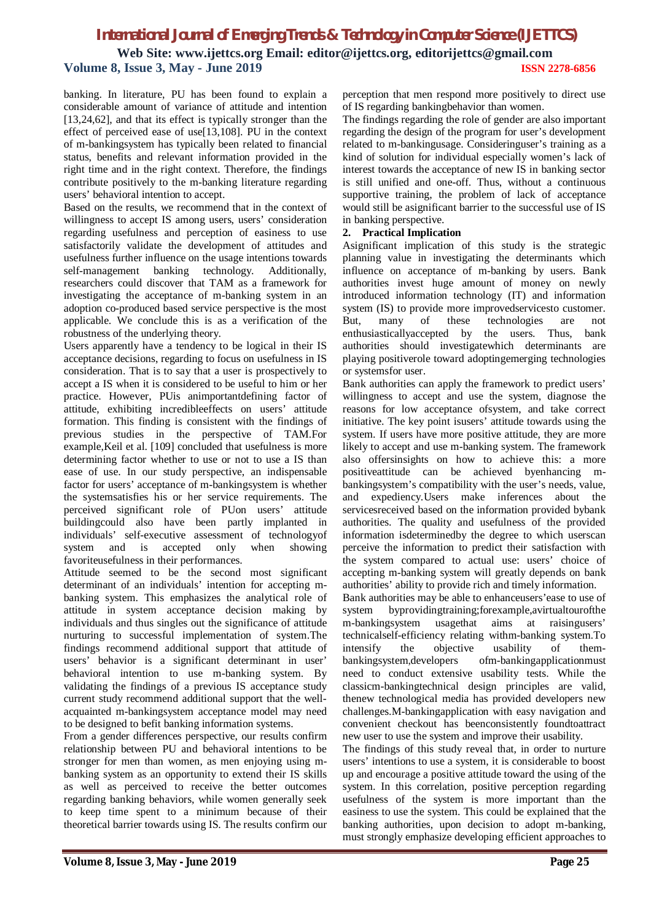**Web Site: www.ijettcs.org Email: editor@ijettcs.org, editorijettcs@gmail.com Volume 8, Issue 3, May - June 2019 ISSN 2278-6856**

banking. In literature, PU has been found to explain a considerable amount of variance of attitude and intention [13,24,62], and that its effect is typically stronger than the effect of perceived ease of use[13,108]. PU in the context of m-bankingsystem has typically been related to financial status, benefits and relevant information provided in the right time and in the right context. Therefore, the findings contribute positively to the m-banking literature regarding users' behavioral intention to accept.

Based on the results, we recommend that in the context of willingness to accept IS among users, users' consideration regarding usefulness and perception of easiness to use satisfactorily validate the development of attitudes and usefulness further influence on the usage intentions towards self-management banking technology. Additionally, researchers could discover that TAM as a framework for investigating the acceptance of m-banking system in an adoption co-produced based service perspective is the most applicable. We conclude this is as a verification of the robustness of the underlying theory.

Users apparently have a tendency to be logical in their IS acceptance decisions, regarding to focus on usefulness in IS consideration. That is to say that a user is prospectively to accept a IS when it is considered to be useful to him or her practice. However, PUis animportantdefining factor of attitude, exhibiting incredibleeffects on users' attitude formation. This finding is consistent with the findings of previous studies in the perspective of TAM.For example,Keil et al. [109] concluded that usefulness is more determining factor whether to use or not to use a IS than ease of use. In our study perspective, an indispensable factor for users' acceptance of m-bankingsystem is whether the systemsatisfies his or her service requirements. The perceived significant role of PUon users' attitude buildingcould also have been partly implanted in individuals' self-executive assessment of technologyof system and is accepted only when showing favoriteusefulness in their performances.

Attitude seemed to be the second most significant determinant of an individuals' intention for accepting mbanking system. This emphasizes the analytical role of attitude in system acceptance decision making by individuals and thus singles out the significance of attitude nurturing to successful implementation of system.The findings recommend additional support that attitude of users' behavior is a significant determinant in user' behavioral intention to use m-banking system. By validating the findings of a previous IS acceptance study current study recommend additional support that the wellacquainted m-bankingsystem acceptance model may need to be designed to befit banking information systems.

From a gender differences perspective, our results confirm relationship between PU and behavioral intentions to be stronger for men than women, as men enjoying using mbanking system as an opportunity to extend their IS skills as well as perceived to receive the better outcomes regarding banking behaviors, while women generally seek to keep time spent to a minimum because of their theoretical barrier towards using IS. The results confirm our perception that men respond more positively to direct use of IS regarding bankingbehavior than women.

The findings regarding the role of gender are also important regarding the design of the program for user's development related to m-bankingusage. Consideringuser's training as a kind of solution for individual especially women's lack of interest towards the acceptance of new IS in banking sector is still unified and one-off. Thus, without a continuous supportive training, the problem of lack of acceptance would still be asignificant barrier to the successful use of IS in banking perspective.

#### **2. Practical Implication**

Asignificant implication of this study is the strategic planning value in investigating the determinants which influence on acceptance of m-banking by users. Bank authorities invest huge amount of money on newly introduced information technology (IT) and information system (IS) to provide more improvedservicesto customer. But, many of these technologies are not enthusiastically<br>accepted by the users. Thus, bank enthusiastically accepted by the users. Thus, authorities should investigatewhich determinants are playing positiverole toward adoptingemerging technologies or systemsfor user.

Bank authorities can apply the framework to predict users' willingness to accept and use the system, diagnose the reasons for low acceptance ofsystem, and take correct initiative. The key point isusers' attitude towards using the system. If users have more positive attitude, they are more likely to accept and use m-banking system. The framework also offersinsights on how to achieve this: a more positiveattitude can be achieved byenhancing mbankingsystem's compatibility with the user's needs, value, and expediency.Users make inferences about the servicesreceived based on the information provided bybank authorities. The quality and usefulness of the provided information isdeterminedby the degree to which userscan perceive the information to predict their satisfaction with the system compared to actual use: users' choice of accepting m-banking system will greatly depends on bank authorities' ability to provide rich and timely information.

Bank authorities may be able to enhanceusers'ease to use of system byprovidingtraining;forexample,avirtualtourofthe m-bankingsystem usagethat aims at raisingusers' technicalself-efficiency relating withm-banking system.To intensify the objective usability of thembankingsystem,developers ofm-bankingapplicationmust need to conduct extensive usability tests. While the classicm-bankingtechnical design principles are valid, thenew technological media has provided developers new challenges.M-bankingapplication with easy navigation and convenient checkout has beenconsistently foundtoattract new user to use the system and improve their usability.

The findings of this study reveal that, in order to nurture users' intentions to use a system, it is considerable to boost up and encourage a positive attitude toward the using of the system. In this correlation, positive perception regarding usefulness of the system is more important than the easiness to use the system. This could be explained that the banking authorities, upon decision to adopt m-banking, must strongly emphasize developing efficient approaches to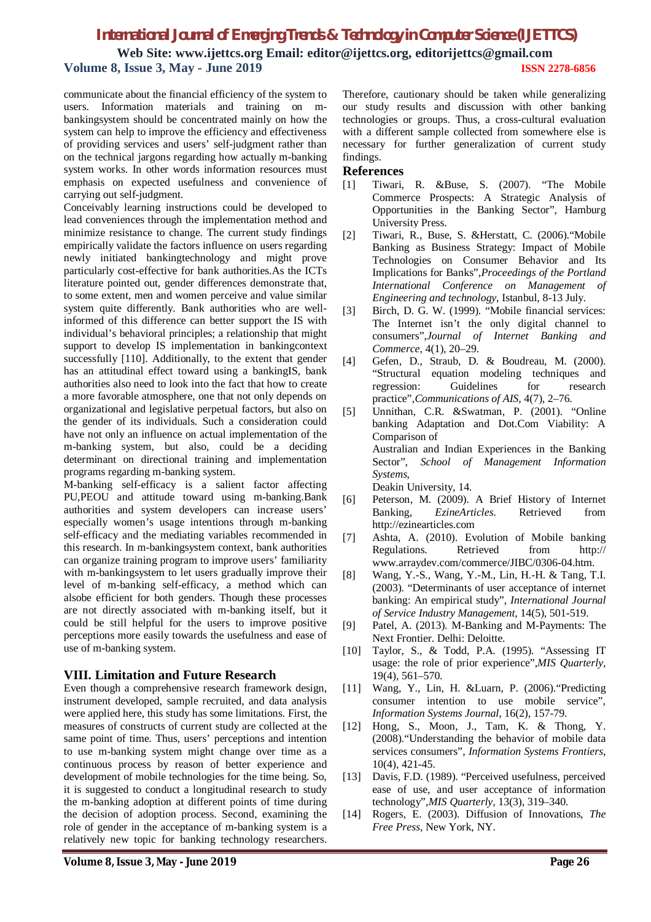**Web Site: www.ijettcs.org Email: editor@ijettcs.org, editorijettcs@gmail.com Volume 8, Issue 3, May - June 2019 ISSN 2278-6856**

communicate about the financial efficiency of the system to users. Information materials and training on mbankingsystem should be concentrated mainly on how the system can help to improve the efficiency and effectiveness of providing services and users' self-judgment rather than on the technical jargons regarding how actually m-banking system works. In other words information resources must emphasis on expected usefulness and convenience of carrying out self-judgment.

Conceivably learning instructions could be developed to lead conveniences through the implementation method and minimize resistance to change. The current study findings empirically validate the factors influence on users regarding newly initiated bankingtechnology and might prove particularly cost-effective for bank authorities.As the ICTs literature pointed out, gender differences demonstrate that, to some extent, men and women perceive and value similar system quite differently. Bank authorities who are wellinformed of this difference can better support the IS with individual's behavioral principles; a relationship that might support to develop IS implementation in bankingcontext successfully [110]. Additionally, to the extent that gender has an attitudinal effect toward using a bankingIS, bank authorities also need to look into the fact that how to create a more favorable atmosphere, one that not only depends on organizational and legislative perpetual factors, but also on the gender of its individuals. Such a consideration could have not only an influence on actual implementation of the m-banking system, but also, could be a deciding determinant on directional training and implementation programs regarding m-banking system.

M-banking self-efficacy is a salient factor affecting PU,PEOU and attitude toward using m-banking.Bank authorities and system developers can increase users' especially women's usage intentions through m-banking self-efficacy and the mediating variables recommended in this research. In m-bankingsystem context, bank authorities can organize training program to improve users' familiarity with m-bankingsystem to let users gradually improve their level of m-banking self-efficacy, a method which can alsobe efficient for both genders. Though these processes are not directly associated with m-banking itself, but it could be still helpful for the users to improve positive perceptions more easily towards the usefulness and ease of use of m-banking system.

#### **VIII. Limitation and Future Research**

Even though a comprehensive research framework design, instrument developed, sample recruited, and data analysis were applied here, this study has some limitations. First, the measures of constructs of current study are collected at the same point of time. Thus, users' perceptions and intention to use m-banking system might change over time as a continuous process by reason of better experience and development of mobile technologies for the time being. So, it is suggested to conduct a longitudinal research to study the m-banking adoption at different points of time during the decision of adoption process. Second, examining the role of gender in the acceptance of m-banking system is a relatively new topic for banking technology researchers.

Therefore, cautionary should be taken while generalizing our study results and discussion with other banking technologies or groups. Thus, a cross-cultural evaluation with a different sample collected from somewhere else is necessary for further generalization of current study findings.

#### **References**

- [1] Tiwari, R. &Buse, S. (2007). "The Mobile Commerce Prospects: A Strategic Analysis of Opportunities in the Banking Sector", Hamburg University Press.
- [2] Tiwari, R., Buse, S. &Herstatt, C. (2006)."Mobile Banking as Business Strategy: Impact of Mobile Technologies on Consumer Behavior and Its Implications for Banks",*Proceedings of the Portland International Conference on Management of Engineering and technology*, Istanbul, 8-13 July.
- [3] Birch, D. G. W. (1999). "Mobile financial services: The Internet isn't the only digital channel to consumers",*Journal of Internet Banking and Commerce*, 4(1), 20–29.
- [4] Gefen, D., Straub, D. & Boudreau, M. (2000). "Structural equation modeling techniques and regression: Guidelines for research practice",*Communications of AIS*, 4(7), 2–76.
- [5] Unnithan, C.R. &Swatman, P. (2001). "Online banking Adaptation and Dot.Com Viability: A Comparison of Australian and Indian Experiences in the Banking Sector", *School of Management Information Systems*, Deakin University, 14.
- [6] Peterson, M. (2009). A Brief History of Internet Banking, *EzineArticles*. Retrieved from http://ezinearticles.com
- [7] Ashta, A. (2010). Evolution of Mobile banking Regulations. Retrieved from http:// www.arraydev.com/commerce/JIBC/0306-04.htm.
- [8] Wang, Y.-S., Wang, Y.-M., Lin, H.-H. & Tang, T.I. (2003). "Determinants of user acceptance of internet banking: An empirical study", *International Journal of Service Industry Management*, 14(5), 501-519.
- [9] Patel, A. (2013). M-Banking and M-Payments: The Next Frontier. Delhi: Deloitte.
- [10] Taylor, S., & Todd, P.A. (1995). "Assessing IT usage: the role of prior experience",*MIS Quarterly,* 19(4), 561–570.
- [11] Wang, Y., Lin, H. &Luarn, P. (2006)."Predicting consumer intention to use mobile service", *Information Systems Journal*, 16(2), 157-79.
- [12] Hong, S., Moon, J., Tam, K. & Thong, Y. (2008)."Understanding the behavior of mobile data services consumers", *Information Systems Frontiers*, 10(4), 421-45.
- [13] Davis, F.D. (1989). "Perceived usefulness, perceived ease of use, and user acceptance of information technology",*MIS Quarterly,* 13(3), 319–340.
- [14] Rogers, E. (2003). Diffusion of Innovations, *The Free Press*, New York, NY.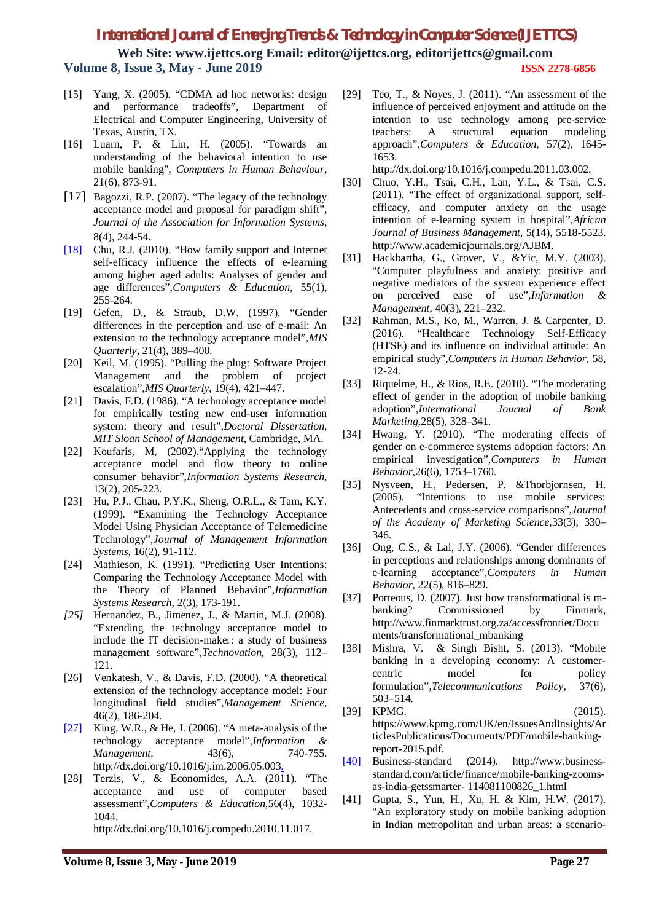**Web Site: www.ijettcs.org Email: editor@ijettcs.org, editorijettcs@gmail.com Volume 8, Issue 3, May - June 2019 ISSN 2278-6856**

- [15] Yang, X. (2005). "CDMA ad hoc networks: design and performance tradeoffs", Department of Electrical and Computer Engineering, University of Texas, Austin, TX.
- [16] Luarn, P. & Lin, H. (2005). "Towards an understanding of the behavioral intention to use mobile banking", *Computers in Human Behaviour*, 21(6), 873-91.
- [17] Bagozzi, R.P. (2007). "The legacy of the technology acceptance model and proposal for paradigm shift", *Journal of the Association for Information Systems*, 8(4), 244-54.
- [18] Chu, R.J. (2010). "How family support and Internet self-efficacy influence the effects of e-learning among higher aged adults: Analyses of gender and age differences",*Computers & Education*, 55(1), 255-264.
- [19] Gefen, D., & Straub, D.W. (1997). "Gender differences in the perception and use of e-mail: An extension to the technology acceptance model",*MIS Quarterly,* 21(4), 389–400.
- [20] Keil, M. (1995). "Pulling the plug: Software Project Management and the problem of project escalation",*MIS Quarterly*, 19(4), 421–447.
- [21] Davis, F.D. (1986). "A technology acceptance model for empirically testing new end-user information system: theory and result",*Doctoral Dissertation, MIT Sloan School of Management*, Cambridge, MA.
- [22] Koufaris, M, (2002)."Applying the technology acceptance model and flow theory to online consumer behavior",*Information Systems Research,* 13(2), 205-223.
- [23] Hu, P.J., Chau, P.Y.K., Sheng, O.R.L., & Tam, K.Y. (1999). "Examining the Technology Acceptance Model Using Physician Acceptance of Telemedicine Technology",*Journal of Management Information Systems*, 16(2), 91-112.
- [24] Mathieson, K. (1991). "Predicting User Intentions: Comparing the Technology Acceptance Model with the Theory of Planned Behavior",*Information Systems Research*, 2(3), 173-191.
- *[25]* Hernandez, B., Jimenez, J., & Martin, M.J. (2008). "Extending the technology acceptance model to include the IT decision-maker: a study of business management software",*Technovation*, 28(3), 112– 121.
- [26] Venkatesh, V., & Davis, F.D. (2000). "A theoretical extension of the technology acceptance model: Four longitudinal field studies",*Management Science,*  46(2), 186-204.
- [27] King, W.R., & He, J. (2006). "A meta-analysis of the technology acceptance model",*Information & Management,* 43(6), 740-755. http://dx.doi.org/10.1016/j.im.2006.05.003.
- [28] Terzis, V., & Economides, A.A. (2011). "The acceptance and use of computer based assessment",*Computers & Education*,56(4), 1032- 1044. http://dx.doi.org/10.1016/j.compedu.2010.11.017.

[29] Teo, T., & Noyes, J. (2011). "An assessment of the influence of perceived enjoyment and attitude on the intention to use technology among pre-service teachers: A structural equation modeling approach",*Computers & Education,* 57(2), 1645- 1653.

http://dx.doi.org/10.1016/j.compedu.2011.03.002.

- [30] Chuo, Y.H., Tsai, C.H., Lan, Y.L., & Tsai, C.S. (2011). "The effect of organizational support, selfefficacy, and computer anxiety on the usage intention of e-learning system in hospital",*African Journal of Business Management*, 5(14), 5518-5523. http://www.academicjournals.org/AJBM.
- [31] Hackbartha, G., Grover, V., &Yic, M.Y. (2003). "Computer playfulness and anxiety: positive and negative mediators of the system experience effect on perceived ease of use",*Information & Management,* 40(3), 221–232.
- [32] Rahman, M.S., Ko, M., Warren, J. & Carpenter, D. (2016). "Healthcare Technology Self-Efficacy (HTSE) and its influence on individual attitude: An empirical study",*Computers in Human Behavior,* 58, 12-24.
- [33] Riquelme, H., & Rios, R.E. (2010). "The moderating effect of gender in the adoption of mobile banking adoption",*International Journal of Bank Marketing,*28(5), 328–341.
- [34] Hwang, Y. (2010). "The moderating effects of gender on e-commerce systems adoption factors: An empirical investigation",*Computers in Human Behavior,*26(6), 1753–1760.
- [35] Nysveen, H., Pedersen, P. &Thorbjornsen, H. (2005). "Intentions to use mobile services: Antecedents and cross-service comparisons",*Journal of the Academy of Marketing Science*,33(3), 330– 346.
- [36] Ong, C.S., & Lai, J.Y. (2006). "Gender differences in perceptions and relationships among dominants of e-learning acceptance",*Computers in Human Behavior*, 22(5), 816–829.
- [37] Porteous, D. (2007). Just how transformational is mbanking? Commissioned by Finmark, http://www.finmarktrust.org.za/accessfrontier/Docu ments/transformational\_mbanking
- [38] Mishra, V. & Singh Bisht, S. (2013). "Mobile banking in a developing economy: A customercentric model for policy formulation",*Telecommunications Policy*, 37(6), 503–514.
- [39] KPMG. (2015). https://www.kpmg.com/UK/en/IssuesAndInsights/Ar ticlesPublications/Documents/PDF/mobile-bankingreport-2015.pdf.
- [40] Business-standard (2014). http://www.businessstandard.com/article/finance/mobile-banking-zoomsas-india-getssmarter- 114081100826\_1.html
- [41] Gupta, S., Yun, H., Xu, H. & Kim, H.W. (2017). "An exploratory study on mobile banking adoption in Indian metropolitan and urban areas: a scenario-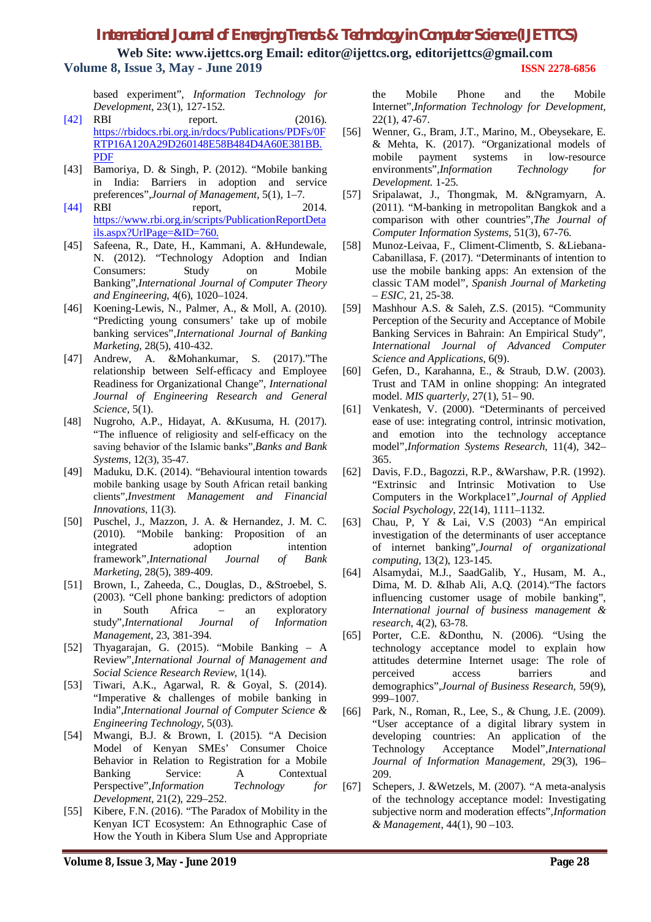**Web Site: www.ijettcs.org Email: editor@ijettcs.org, editorijettcs@gmail.com Volume 8, Issue 3, May - June 2019 ISSN 2278-6856**

based experiment", *Information Technology for Development*, 23(1), 127-152.

- [42] RBI report. (2016). https://rbidocs.rbi.org.in/rdocs/Publications/PDFs/0F RTP16A120A29D260148E58B484D4A60E381BB. PDF
- [43] Bamoriya, D. & Singh, P. (2012). "Mobile banking in India: Barriers in adoption and service preferences",*Journal of Management*, 5(1), 1–7.
- [44] RBI report, 2014. https://www.rbi.org.in/scripts/PublicationReportDeta ils.aspx?UrlPage=&ID=760.
- [45] Safeena, R., Date, H., Kammani, A. &Hundewale, N. (2012). "Technology Adoption and Indian Consumers: Study on Mobile Banking",*International Journal of Computer Theory and Engineering*, 4(6), 1020–1024.
- [46] Koening-Lewis, N., Palmer, A., & Moll, A. (2010). "Predicting young consumers' take up of mobile banking services",*International Journal of Banking Marketing*, 28(5), 410-432.
- [47] Andrew, A. &Mohankumar, S. (2017)."The relationship between Self-efficacy and Employee Readiness for Organizational Change", *International Journal of Engineering Research and General Science*, 5(1).
- [48] Nugroho, A.P., Hidayat, A. &Kusuma, H. (2017). "The influence of religiosity and self-efficacy on the saving behavior of the Іslamic banks",*Banks and Bank Systems*, 12(3), 35-47.
- [49] Maduku, D.K. (2014). "Behavioural intention towards mobile banking usage by South African retail banking clients",*Investment Management and Financial Innovations*, 11(3).
- [50] Puschel, J., Mazzon, J. A. & Hernandez, J. M. C. (2010). "Mobile banking: Proposition of an integrated adoption intention framework",*International Journal of Bank Marketing*, 28(5), 389-409.
- [51] Brown, I*.,* Zaheeda, C., Douglas, D., &Stroebel, S. (2003). "Cell phone banking: predictors of adoption in South Africa – an exploratory study",*International Journal of Information Management*, 23, 381-394.
- [52] Thyagarajan, G. (2015). "Mobile Banking A Review",*International Journal of Management and Social Science Research Review*, 1(14).
- [53] Tiwari, A.K., Agarwal, R. & Goyal, S. (2014). "Imperative & challenges of mobile banking in India",*International Journal of Computer Science & Engineering Technology*, 5(03).
- [54] Mwangi, B.J. & Brown, I. (2015). "A Decision Model of Kenyan SMEs' Consumer Choice Behavior in Relation to Registration for a Mobile Banking Service: A Contextual Perspective",*Information Technology for Development*, 21(2), 229–252.
- [55] Kibere, F.N. (2016). "The Paradox of Mobility in the Kenyan ICT Ecosystem: An Ethnographic Case of How the Youth in Kibera Slum Use and Appropriate

the Mobile Phone and the Mobile Internet",*Information Technology for Development,*  22(1), 47-67.

- [56] Wenner, G., Bram, J.T., Marino, M., Obeysekare, E. & Mehta, K. (2017). "Organizational models of mobile payment systems in low-resource environments",*Information Technology for Development.* 1-25.
- [57] Sripalawat, J., Thongmak, M. &Ngramyarn, A. (2011). "M-banking in metropolitan Bangkok and a comparison with other countries",*The Journal of Computer Information Systems*, 51(3), 67-76.
- [58] Munoz-Leivaa, F., Climent-Climentb, S. &Liebana-Cabanillasa, F. (2017). "Determinants of intention to use the mobile banking apps: An extension of the classic TAM model", *Spanish Journal of Marketing – ESIC,* 21, 25-38.
- [59] Mashhour A.S. & Saleh, Z.S. (2015). "Community Perception of the Security and Acceptance of Mobile Banking Services in Bahrain: An Empirical Study", *International Journal of Advanced Computer Science and Applications*, 6(9).
- [60] Gefen, D., Karahanna, E., & Straub, D.W. (2003). Trust and TAM in online shopping: An integrated model. *MIS quarterly*, 27(1), 51– 90.
- [61] Venkatesh, V. (2000). "Determinants of perceived ease of use: integrating control, intrinsic motivation, and emotion into the technology acceptance model",*Information Systems Research,* 11(4), 342– 365.
- [62] Davis, F.D., Bagozzi, R.P., &Warshaw, P.R. (1992). "Extrinsic and Intrinsic Motivation to Use Computers in the Workplace1",*Journal of Applied Social Psychology*, 22(14), 1111–1132.
- [63] Chau, P, Y & Lai, V.S (2003) "An empirical investigation of the determinants of user acceptance of internet banking",*Journal of organizational computing*, 13(2), 123-145.
- [64] Alsamydai, M.J., SaadGalib, Y., Husam, M. A., Dima, M. D. &Ihab Ali, A.Q. (2014)."The factors influencing customer usage of mobile banking", *International journal of business management & research*, 4(2), 63-78.
- [65] Porter, C.E. &Donthu, N. (2006). "Using the technology acceptance model to explain how attitudes determine Internet usage: The role of perceived access barriers and demographics",*Journal of Business Research,* 59(9), 999–1007.
- [66] Park, N., Roman, R., Lee, S., & Chung, J.E. (2009). "User acceptance of a digital library system in developing countries: An application of the Technology Acceptance Model",*International Journal of Information Management,* 29(3), 196– 209.
- [67] Schepers, J. &Wetzels, M. (2007). "A meta-analysis of the technology acceptance model: Investigating subjective norm and moderation effects",*Information & Management*, 44(1), 90 –103.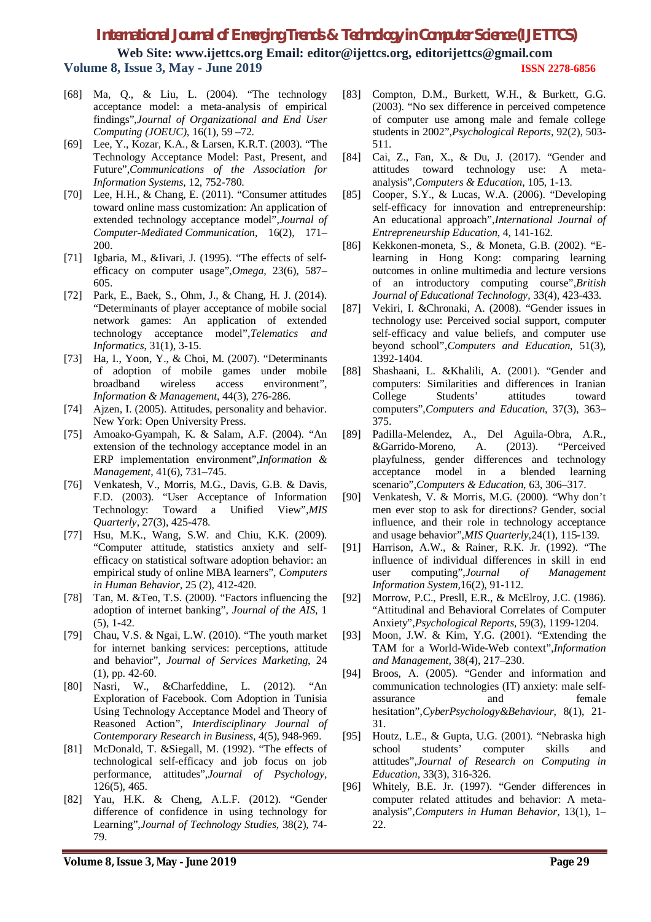**Web Site: www.ijettcs.org Email: editor@ijettcs.org, editorijettcs@gmail.com Volume 8, Issue 3, May - June 2019 ISSN 2278-6856**

- [68] Ma, Q., & Liu, L. (2004). "The technology acceptance model: a meta-analysis of empirical findings",*Journal of Organizational and End User Computing (JOEUC)*, 16(1), 59 –72.
- [69] Lee, Y., Kozar, K.A., & Larsen, K.R.T. (2003). "The Technology Acceptance Model: Past, Present, and Future",*Communications of the Association for Information Systems,* 12, 752-780.
- [70] Lee, H.H., & Chang, E. (2011). "Consumer attitudes toward online mass customization: An application of extended technology acceptance model",*Journal of Computer-Mediated Communication*, 16(2), 171– 200.
- [71] Igbaria, M., &Iivari, J. (1995). "The effects of selfefficacy on computer usage",*Omega,* 23(6), 587– 605.
- [72] Park, E., Baek, S., Ohm, J., & Chang, H. J. (2014). "Determinants of player acceptance of mobile social network games: An application of extended technology acceptance model",*Telematics and Informatics*, 31(1), 3-15.
- [73] Ha, I., Yoon, Y., & Choi, M. (2007). "Determinants of adoption of mobile games under mobile broadband wireless access environment", *Information & Management*, 44(3), 276-286.
- [74] Ajzen, I. (2005). Attitudes, personality and behavior. New York: Open University Press.
- [75] Amoako-Gyampah, K. & Salam, A.F. (2004). "An extension of the technology acceptance model in an ERP implementation environment",*Information & Management*, 41(6), 731–745.
- [76] Venkatesh, V., Morris, M.G., Davis, G.B. & Davis, F.D. (2003). "User Acceptance of Information Technology: Toward a Unified View",*MIS Quarterly*, 27(3), 425-478.
- [77] Hsu, M.K., Wang, S.W. and Chiu, K.K. (2009). "Computer attitude, statistics anxiety and selfefficacy on statistical software adoption behavior: an empirical study of online MBA learners", *Computers in Human Behavior*, 25 (2), 412-420.
- [78] Tan, M. &Teo, T.S. (2000). "Factors influencing the adoption of internet banking", *Journal of the AIS*, 1 (5), 1-42.
- [79] Chau, V.S. & Ngai, L.W. (2010). "The youth market for internet banking services: perceptions, attitude and behavior", *Journal of Services Marketing*, 24 (1), pp. 42-60.
- [80] Nasri, W., &Charfeddine, L. (2012). "An Exploration of Facebook. Com Adoption in Tunisia Using Technology Acceptance Model and Theory of Reasoned Action", *Interdisciplinary Journal of Contemporary Research in Business*, 4(5), 948-969.
- [81] McDonald, T. &Siegall, M. (1992). "The effects of technological self-efficacy and job focus on job performance, attitudes",*Journal of Psychology,* 126(5), 465.
- [82] Yau, H.K. & Cheng, A.L.F. (2012). "Gender difference of confidence in using technology for Learning",*Journal of Technology Studies*, 38(2), 74- 79.
- [83] Compton, D.M., Burkett, W.H., & Burkett, G.G. (2003). "No sex difference in perceived competence of computer use among male and female college students in 2002",*Psychological Reports*, 92(2), 503- 511.
- [84] Cai, Z., Fan, X., & Du, J. (2017). "Gender and attitudes toward technology use: A metaanalysis",*Computers & Education*, 105, 1-13.
- [85] Cooper, S.Y., & Lucas, W.A. (2006). "Developing self-efficacy for innovation and entrepreneurship: An educational approach",*International Journal of Entrepreneurship Education*, 4, 141-162.
- [86] Kekkonen-moneta, S., & Moneta, G.B. (2002). "Elearning in Hong Kong: comparing learning outcomes in online multimedia and lecture versions of an introductory computing course",*British Journal of Educational Technology,* 33(4), 423-433.
- [87] Vekiri, I. &Chronaki, A. (2008). "Gender issues in technology use: Perceived social support, computer self-efficacy and value beliefs, and computer use beyond school",*Computers and Education,* 51(3), 1392-1404.
- [88] Shashaani, L. &Khalili, A. (2001). "Gender and computers: Similarities and differences in Iranian College Students' attitudes toward computers",*Computers and Education*, 37(3), 363– 375.
- [89] Padilla-Melendez, A., Del Aguila-Obra, A.R., &Garrido-Moreno, A. (2013). "Perceived playfulness, gender differences and technology acceptance model in a blended learning scenario",*Computers & Education*, 63, 306–317.
- [90] Venkatesh, V. & Morris, M.G. (2000). "Why don't men ever stop to ask for directions? Gender, social influence, and their role in technology acceptance and usage behavior",*MIS Quarterly*,24(1), 115-139.
- [91] Harrison, A.W., & Rainer, R.K. Jr. (1992). "The influence of individual differences in skill in end user computing",*Journal of Management Information System,*16(2), 91-112.
- [92] Morrow, P.C., Presll, E.R., & McElroy, J.C. (1986). "Attitudinal and Behavioral Correlates of Computer Anxiety",*Psychological Reports,* 59(3), 1199-1204.
- [93] Moon, J.W. & Kim, Y.G. (2001). "Extending the TAM for a World-Wide-Web context",*Information and Management,* 38(4), 217–230.
- [94] Broos, A. (2005). "Gender and information and communication technologies (IT) anxiety: male selfassurance and female hesitation",*CyberPsychology&Behaviour*, 8(1), 21- 31.
- [95] Houtz, L.E., & Gupta, U.G. (2001). "Nebraska high school students' computer skills and attitudes",*Journal of Research on Computing in Education,* 33(3), 316-326.
- [96] Whitely, B.E. Jr. (1997). "Gender differences in computer related attitudes and behavior: A metaanalysis",*Computers in Human Behavior,* 13(1), 1– 22.